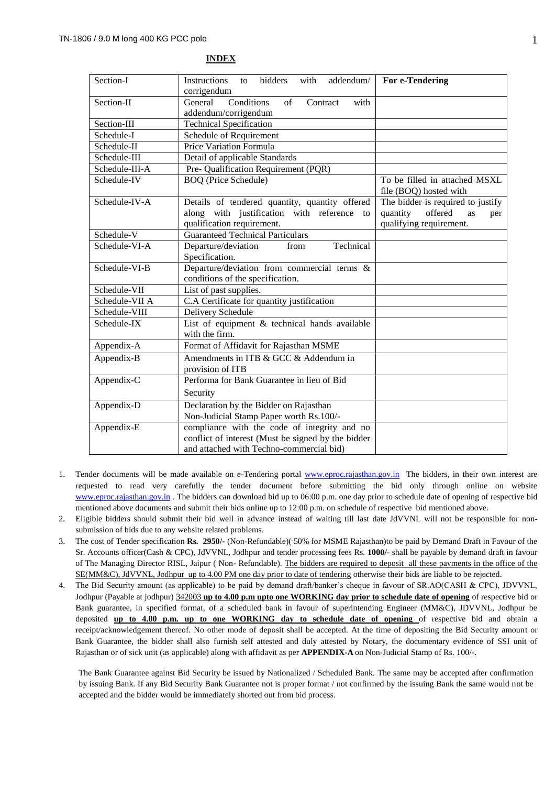| Section-I      | <b>Instructions</b><br>bidders<br>with<br>addendum/<br>to | For e-Tendering                   |  |
|----------------|-----------------------------------------------------------|-----------------------------------|--|
|                | corrigendum                                               |                                   |  |
| Section-II     | Conditions<br>of<br>General<br>Contract<br>with           |                                   |  |
|                | addendum/corrigendum                                      |                                   |  |
| Section-III    | <b>Technical Specification</b>                            |                                   |  |
| Schedule-I     | Schedule of Requirement                                   |                                   |  |
| Schedule-II    | Price Variation Formula                                   |                                   |  |
| Schedule-III   | Detail of applicable Standards                            |                                   |  |
| Schedule-III-A | Pre- Qualification Requirement (PQR)                      |                                   |  |
| Schedule-IV    | <b>BOQ</b> (Price Schedule)                               | To be filled in attached MSXL     |  |
|                |                                                           | file (BOQ) hosted with            |  |
| Schedule-IV-A  | Details of tendered quantity, quantity offered            | The bidder is required to justify |  |
|                | along with justification with reference to                | offered<br>quantity<br>as<br>per  |  |
|                | qualification requirement.                                | qualifying requirement.           |  |
| Schedule-V     | <b>Guaranteed Technical Particulars</b>                   |                                   |  |
| Schedule-VI-A  | Technical<br>Departure/deviation<br>from                  |                                   |  |
|                | Specification.                                            |                                   |  |
| Schedule-VI-B  | Departure/deviation from commercial terms &               |                                   |  |
|                | conditions of the specification.                          |                                   |  |
| Schedule-VII   | List of past supplies.                                    |                                   |  |
| Schedule-VII A | C.A Certificate for quantity justification                |                                   |  |
| Schedule-VIII  | Delivery Schedule                                         |                                   |  |
| Schedule-IX    | List of equipment & technical hands available             |                                   |  |
|                | with the firm.                                            |                                   |  |
| Appendix-A     | Format of Affidavit for Rajasthan MSME                    |                                   |  |
| Appendix-B     | Amendments in ITB & GCC & Addendum in                     |                                   |  |
|                | provision of ITB                                          |                                   |  |
| Appendix-C     | Performa for Bank Guarantee in lieu of Bid                |                                   |  |
|                | Security                                                  |                                   |  |
| Appendix-D     | Declaration by the Bidder on Rajasthan                    |                                   |  |
|                | Non-Judicial Stamp Paper worth Rs.100/-                   |                                   |  |
| Appendix-E     | compliance with the code of integrity and no              |                                   |  |
|                | conflict of interest (Must be signed by the bidder        |                                   |  |
|                | and attached with Techno-commercial bid)                  |                                   |  |
|                |                                                           |                                   |  |

#### **INDEX**

- 1. Tender documents will be made available on e-Tendering portal [www.eproc.rajasthan.gov.in](http://www.eproc.rajasthan.gov.in/) The bidders, in their own interest are requested to read very carefully the tender document before submitting the bid only through online on website [www.eproc.rajasthan.gov.in](http://www.eproc.rajasthan.gov.in/) . The bidders can download bid up to 06:00 p.m. one day prior to schedule date of opening of respective bid mentioned above documents and submit their bids online up to 12:00 p.m. on schedule of respective bid mentioned above.
- 2. Eligible bidders should submit their bid well in advance instead of waiting till last date JdVVNL will not be responsible for nonsubmission of bids due to any website related problems.
- 3. The cost of Tender specification **Rs. 2950/-** (Non-Refundable)( 50% for MSME Rajasthan)to be paid by Demand Draft in Favour of the Sr. Accounts officer(Cash & CPC), JdVVNL, Jodhpur and tender processing fees Rs. **1000/-** shall be payable by demand draft in favour of The Managing Director RISL, Jaipur ( Non- Refundable). The bidders are required to deposit all these payments in the office of the SE(MM&C), JdVVNL, Jodhpur up to 4.00 PM one day prior to date of tendering otherwise their bids are liable to be rejected.
- 4. The Bid Security amount (as applicable) to be paid by demand draft/banker's cheque in favour of SR.AO(CASH & CPC), JDVVNL, Jodhpur (Payable at jodhpur) 342003 **up to 4.00 p.m upto one WORKING day prior to schedule date of opening** of respective bid or Bank guarantee, in specified format, of a scheduled bank in favour of superintending Engineer (MM&C), JDVVNL, Jodhpur be deposited **up to 4.00 p.m. up to one WORKING day to schedule date of opening** of respective bid and obtain a receipt/acknowledgement thereof. No other mode of deposit shall be accepted. At the time of depositing the Bid Security amount or Bank Guarantee, the bidder shall also furnish self attested and duly attested by Notary, the documentary evidence of SSI unit of Rajasthan or of sick unit (as applicable) along with affidavit as per **APPENDIX-A** on Non-Judicial Stamp of Rs. 100/-.

The Bank Guarantee against Bid Security be issued by Nationalized / Scheduled Bank. The same may be accepted after confirmation by issuing Bank. If any Bid Security Bank Guarantee not is proper format / not confirmed by the issuing Bank the same would not be accepted and the bidder would be immediately shorted out from bid process.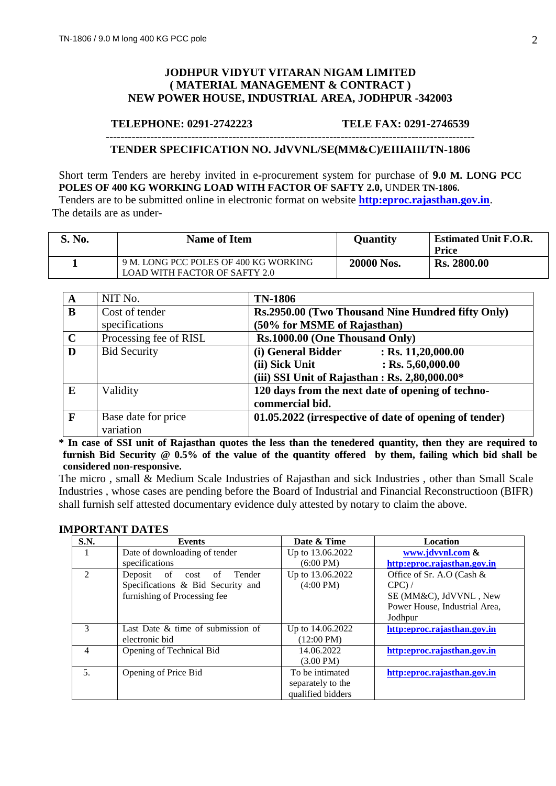### **JODHPUR VIDYUT VITARAN NIGAM LIMITED ( MATERIAL MANAGEMENT & CONTRACT ) NEW POWER HOUSE, INDUSTRIAL AREA, JODHPUR -342003**

#### **TELEPHONE: 0291-2742223 TELE FAX: 0291-2746539**

#### --------------------------------------------------------------------------------------------------- **TENDER SPECIFICATION NO. JdVVNL/SE(MM&C)/EIIIAIII/TN-1806**

Short term Tenders are hereby invited in e-procurement system for purchase of **9.0 M. LONG PCC POLES OF 400 KG WORKING LOAD WITH FACTOR OF SAFTY 2.0,** UNDER **TN-1806.** Tenders are to be submitted online in electronic format on website **[http:eproc.rajasthan.gov.in](http://www.eproc.rajasthan.gov.in/nicgep/app)**.

The details are as under-

| S. No. | <b>Name of Item</b>                                                           | <b>Quantity</b> | <b>Estimated Unit F.O.R.</b><br><b>Price</b> |
|--------|-------------------------------------------------------------------------------|-----------------|----------------------------------------------|
|        | 9 M. LONG PCC POLES OF 400 KG WORKING<br><b>LOAD WITH FACTOR OF SAFTY 2.0</b> | 20000 Nos.      | <b>Rs. 2800.00</b>                           |

| A           | NIT No.                | <b>TN-1806</b>                                         |
|-------------|------------------------|--------------------------------------------------------|
| B           | Cost of tender         | Rs.2950.00 (Two Thousand Nine Hundred fifty Only)      |
|             | specifications         | (50% for MSME of Rajasthan)                            |
| $\mathbf C$ | Processing fee of RISL | Rs.1000.00 (One Thousand Only)                         |
| D           | <b>Bid Security</b>    | (i) General Bidder<br>$:$ Rs. 11,20,000.00             |
|             |                        | $:$ Rs. 5,60,000.00<br>(ii) Sick Unit                  |
|             |                        | (iii) SSI Unit of Rajasthan: Rs. 2,80,000.00*          |
| E           | Validity               | 120 days from the next date of opening of techno-      |
|             |                        | commercial bid.                                        |
| F           | Base date for price    | 01.05.2022 (irrespective of date of opening of tender) |
|             | variation              |                                                        |

**\* In case of SSI unit of Rajasthan quotes the less than the tenedered quantity, then they are required to furnish Bid Security @ 0.5% of the value of the quantity offered by them, failing which bid shall be considered non-responsive.**

The micro , small & Medium Scale Industries of Rajasthan and sick Industries , other than Small Scale Industries , whose cases are pending before the Board of Industrial and Financial Reconstructioon (BIFR) shall furnish self attested documentary evidence duly attested by notary to claim the above.

#### **IMPORTANT DATES**

| <b>S.N.</b>                 | <b>Events</b>                      | Date & Time          | Location                      |
|-----------------------------|------------------------------------|----------------------|-------------------------------|
|                             | Date of downloading of tender      | Up to 13.06.2022     | www.jdvvnl.com &              |
|                             | specifications                     | $(6:00 \text{ PM})$  | http:eproc.rajasthan.gov.in   |
| $\mathcal{D}_{\mathcal{L}}$ | of<br>Tender<br>Deposit<br>cost of | Up to 13.06.2022     | Office of Sr. A.O (Cash $&$   |
|                             | Specifications & Bid Security and  | $(4:00 \text{ PM})$  | $CPC$ ) /                     |
|                             | furnishing of Processing fee       |                      | SE (MM&C), JdVVNL, New        |
|                             |                                    |                      | Power House, Industrial Area, |
|                             |                                    |                      | Jodhpur                       |
| $\mathcal{R}$               | Last Date & time of submission of  | Up to 14.06.2022     | http:eproc.rajasthan.gov.in   |
|                             | electronic bid                     | $(12:00 \text{ PM})$ |                               |
| 4                           | Opening of Technical Bid           | 14.06.2022           | http:eproc.rajasthan.gov.in   |
|                             |                                    | $(3.00 \text{ PM})$  |                               |
| 5.                          | Opening of Price Bid               | To be intimated      | http:eproc.rajasthan.gov.in   |
|                             |                                    | separately to the    |                               |
|                             |                                    | qualified bidders    |                               |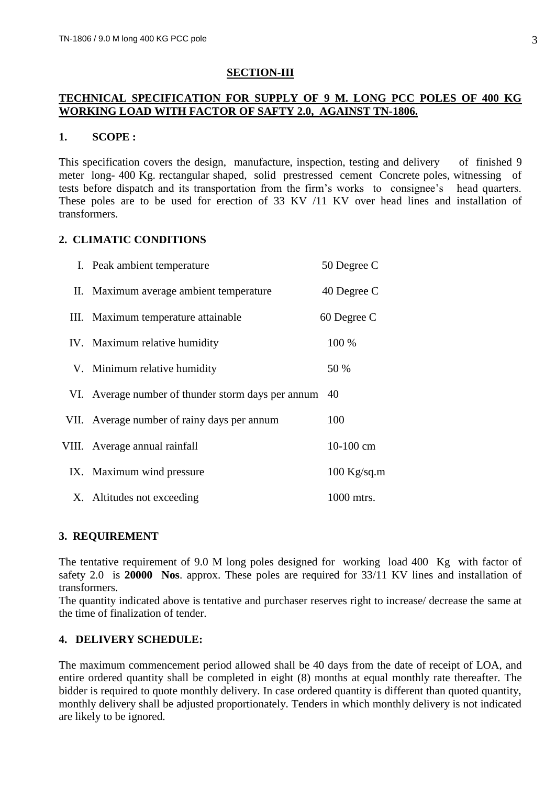### **SECTION-III**

### **TECHNICAL SPECIFICATION FOR SUPPLY OF 9 M. LONG PCC POLES OF 400 KG WORKING LOAD WITH FACTOR OF SAFTY 2.0, AGAINST TN-1806.**

#### **1. SCOPE :**

This specification covers the design, manufacture, inspection, testing and delivery of finished 9 meter long- 400 Kg. rectangular shaped, solid prestressed cement Concrete poles, witnessing of tests before dispatch and its transportation from the firm's works to consignee's head quarters. These poles are to be used for erection of 33 KV /11 KV over head lines and installation of transformers.

### **2. CLIMATIC CONDITIONS**

| I. Peak ambient temperature                        | 50 Degree C   |
|----------------------------------------------------|---------------|
| II. Maximum average ambient temperature            | 40 Degree C   |
| III. Maximum temperature attainable                | 60 Degree C   |
| IV. Maximum relative humidity                      | 100 %         |
| V. Minimum relative humidity                       | 50 %          |
| VI. Average number of thunder storm days per annum | 40            |
| VII. Average number of rainy days per annum        | 100           |
| VIII. Average annual rainfall                      | $10-100$ cm   |
| IX. Maximum wind pressure                          | $100$ Kg/sq.m |
| X. Altitudes not exceeding                         | 1000 mtrs.    |

### **3. REQUIREMENT**

The tentative requirement of 9.0 M long poles designed for working load 400 Kg with factor of safety 2.0 is **20000 Nos**. approx. These poles are required for 33/11 KV lines and installation of transformers.

The quantity indicated above is tentative and purchaser reserves right to increase/ decrease the same at the time of finalization of tender.

### **4. DELIVERY SCHEDULE:**

The maximum commencement period allowed shall be 40 days from the date of receipt of LOA, and entire ordered quantity shall be completed in eight (8) months at equal monthly rate thereafter. The bidder is required to quote monthly delivery. In case ordered quantity is different than quoted quantity, monthly delivery shall be adjusted proportionately. Tenders in which monthly delivery is not indicated are likely to be ignored.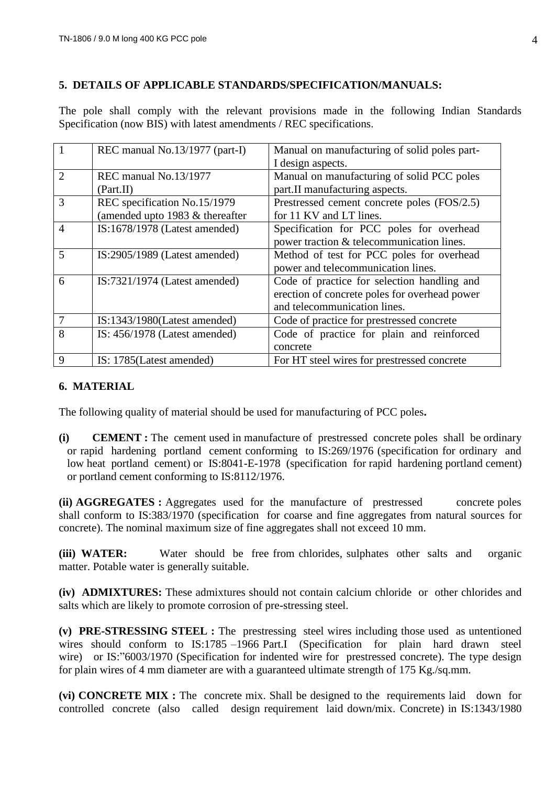### **5. DETAILS OF APPLICABLE STANDARDS/SPECIFICATION/MANUALS:**

The pole shall comply with the relevant provisions made in the following Indian Standards Specification (now BIS) with latest amendments / REC specifications.

|                             | REC manual No.13/1977 (part-I)    | Manual on manufacturing of solid poles part-  |
|-----------------------------|-----------------------------------|-----------------------------------------------|
|                             |                                   | I design aspects.                             |
| $\mathcal{D}_{\mathcal{L}}$ | REC manual No.13/1977             | Manual on manufacturing of solid PCC poles    |
|                             | (Part.II)                         | part.II manufacturing aspects.                |
| 3                           | REC specification No.15/1979      | Prestressed cement concrete poles (FOS/2.5)   |
|                             | (amended upto 1983 $&$ thereafter | for 11 KV and LT lines.                       |
| $\overline{4}$              | IS:1678/1978 (Latest amended)     | Specification for PCC poles for overhead      |
|                             |                                   | power traction & telecommunication lines.     |
| 5                           | $IS:2905/1989$ (Latest amended)   | Method of test for PCC poles for overhead     |
|                             |                                   | power and telecommunication lines.            |
| 6                           | $IS:7321/1974$ (Latest amended)   | Code of practice for selection handling and   |
|                             |                                   | erection of concrete poles for overhead power |
|                             |                                   | and telecommunication lines.                  |
|                             | $IS:1343/1980$ (Latest amended)   | Code of practice for prestressed concrete     |
| 8                           | IS: $456/1978$ (Latest amended)   | Code of practice for plain and reinforced     |
|                             |                                   | concrete                                      |
| 9                           | IS: 1785 (Latest amended)         | For HT steel wires for prestressed concrete   |

# **6. MATERIAL**

The following quality of material should be used for manufacturing of PCC poles**.**

**(i) CEMENT :** The cement used in manufacture of prestressed concrete poles shall be ordinary or rapid hardening portland cement conforming to IS:269/1976 (specification for ordinary and low heat portland cement) or IS:8041-E-1978 (specification for rapid hardening portland cement) or portland cement conforming to IS:8112/1976.

**(ii) AGGREGATES :** Aggregates used for the manufacture of prestressed concrete poles shall conform to IS:383/1970 (specification for coarse and fine aggregates from natural sources for concrete). The nominal maximum size of fine aggregates shall not exceed 10 mm.

**(iii) WATER:** Water should be free from chlorides, sulphates other salts and organic matter. Potable water is generally suitable.

**(iv) ADMIXTURES:** These admixtures should not contain calcium chloride or other chlorides and salts which are likely to promote corrosion of pre-stressing steel.

**(v) PRE-STRESSING STEEL :** The prestressing steel wires including those used as untentioned wires should conform to IS:1785 –1966 Part.I (Specification for plain hard drawn steel wire) or IS:"6003/1970 (Specification for indented wire for prestressed concrete). The type design for plain wires of 4 mm diameter are with a guaranteed ultimate strength of 175 Kg./sq.mm.

**(vi) CONCRETE MIX :** The concrete mix. Shall be designed to the requirements laid down for controlled concrete (also called design requirement laid down/mix. Concrete) in IS:1343/1980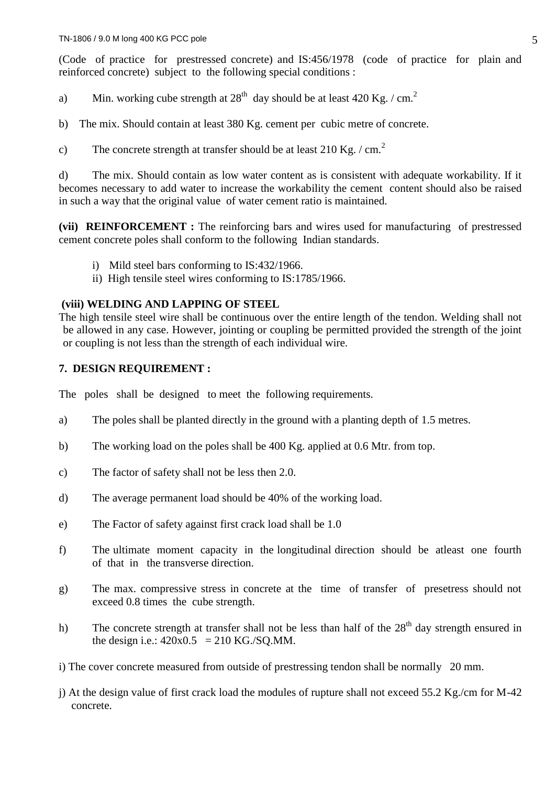(Code of practice for prestressed concrete) and IS:456/1978 (code of practice for plain and reinforced concrete) subject to the following special conditions :

a) Min. working cube strength at  $28<sup>th</sup>$  day should be at least 420 Kg. / cm.<sup>2</sup>

b) The mix. Should contain at least 380 Kg. cement per cubic metre of concrete.

c) The concrete strength at transfer should be at least  $210 \text{ Kg.} / \text{ cm.}^2$ 

d) The mix. Should contain as low water content as is consistent with adequate workability. If it becomes necessary to add water to increase the workability the cement content should also be raised in such a way that the original value of water cement ratio is maintained.

**(vii) REINFORCEMENT :** The reinforcing bars and wires used for manufacturing of prestressed cement concrete poles shall conform to the following Indian standards.

- i) Mild steel bars conforming to IS:432/1966.
- ii) High tensile steel wires conforming to IS:1785/1966.

### **(viii) WELDING AND LAPPING OF STEEL**

The high tensile steel wire shall be continuous over the entire length of the tendon. Welding shall not be allowed in any case. However, jointing or coupling be permitted provided the strength of the joint or coupling is not less than the strength of each individual wire.

### **7. DESIGN REQUIREMENT :**

The poles shall be designed to meet the following requirements.

- a) The poles shall be planted directly in the ground with a planting depth of 1.5 metres.
- b) The working load on the poles shall be 400 Kg. applied at 0.6 Mtr. from top.
- c) The factor of safety shall not be less then 2.0.
- d) The average permanent load should be 40% of the working load.
- e) The Factor of safety against first crack load shall be 1.0
- f) The ultimate moment capacity in the longitudinal direction should be atleast one fourth of that in the transverse direction.
- g) The max. compressive stress in concrete at the time of transfer of presetress should not exceed 0.8 times the cube strength.
- h) The concrete strength at transfer shall not be less than half of the  $28<sup>th</sup>$  day strength ensured in the design i.e.:  $420x0.5 = 210$  KG./SQ.MM.
- i) The cover concrete measured from outside of prestressing tendon shall be normally 20 mm.
- j) At the design value of first crack load the modules of rupture shall not exceed 55.2 Kg./cm for M-42 concrete.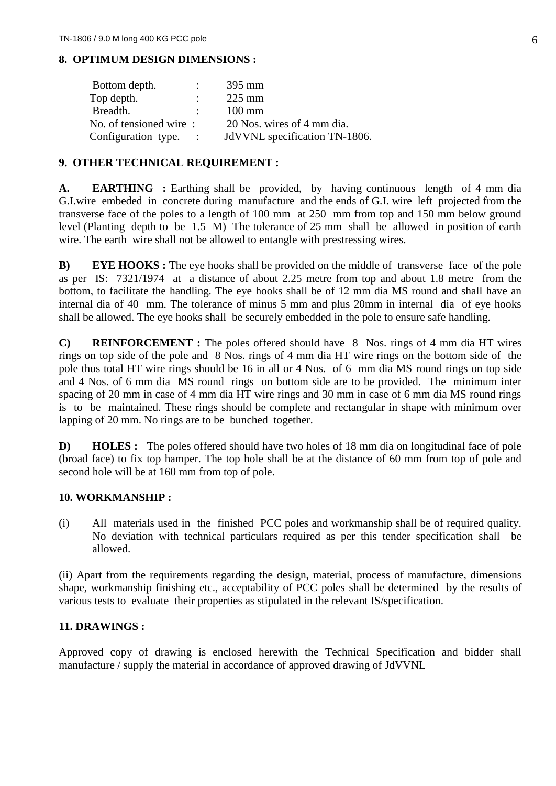# **8. OPTIMUM DESIGN DIMENSIONS :**

| Bottom depth.          | 395 mm                        |
|------------------------|-------------------------------|
| Top depth.             | $225 \text{ mm}$              |
| Breadth.               | $100 \text{ mm}$              |
| No. of tensioned wire: | 20 Nos. wires of 4 mm dia.    |
| Configuration type.    | JdVVNL specification TN-1806. |

### **9. OTHER TECHNICAL REQUIREMENT :**

A. **EARTHING** : Earthing shall be provided, by having continuous length of 4 mm dia G.I.wire embeded in concrete during manufacture and the ends of G.I. wire left projected from the transverse face of the poles to a length of 100 mm at 250 mm from top and 150 mm below ground level (Planting depth to be 1.5 M) The tolerance of 25 mm shall be allowed in position of earth wire. The earth wire shall not be allowed to entangle with prestressing wires.

**B) EYE HOOKS :** The eye hooks shall be provided on the middle of transverse face of the pole as per IS: 7321/1974 at a distance of about 2.25 metre from top and about 1.8 metre from the bottom, to facilitate the handling. The eye hooks shall be of 12 mm dia MS round and shall have an internal dia of 40 mm. The tolerance of minus 5 mm and plus 20mm in internal dia of eye hooks shall be allowed. The eye hooks shall be securely embedded in the pole to ensure safe handling.

**C) REINFORCEMENT :** The poles offered should have 8 Nos. rings of 4 mm dia HT wires rings on top side of the pole and 8 Nos. rings of 4 mm dia HT wire rings on the bottom side of the pole thus total HT wire rings should be 16 in all or 4 Nos. of 6 mm dia MS round rings on top side and 4 Nos. of 6 mm dia MS round rings on bottom side are to be provided. The minimum inter spacing of 20 mm in case of 4 mm dia HT wire rings and 30 mm in case of 6 mm dia MS round rings is to be maintained. These rings should be complete and rectangular in shape with minimum over lapping of 20 mm. No rings are to be bunched together.

**D) HOLES :** The poles offered should have two holes of 18 mm dia on longitudinal face of pole (broad face) to fix top hamper. The top hole shall be at the distance of 60 mm from top of pole and second hole will be at 160 mm from top of pole.

### **10. WORKMANSHIP :**

(i) All materials used in the finished PCC poles and workmanship shall be of required quality. No deviation with technical particulars required as per this tender specification shall be allowed.

(ii) Apart from the requirements regarding the design, material, process of manufacture, dimensions shape, workmanship finishing etc., acceptability of PCC poles shall be determined by the results of various tests to evaluate their properties as stipulated in the relevant IS/specification.

### **11. DRAWINGS :**

Approved copy of drawing is enclosed herewith the Technical Specification and bidder shall manufacture / supply the material in accordance of approved drawing of JdVVNL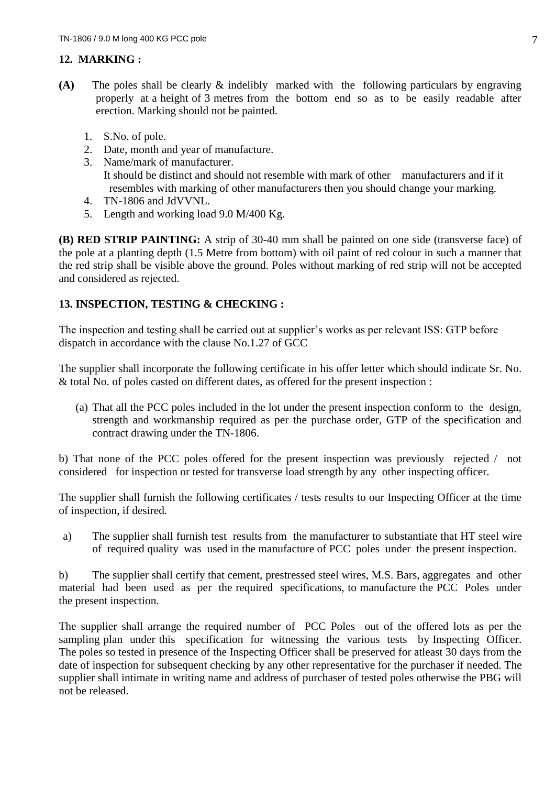# **12. MARKING :**

- **(A)** The poles shall be clearly & indelibly marked with the following particulars by engraving properly at a height of 3 metres from the bottom end so as to be easily readable after erection. Marking should not be painted.
	- 1. S.No. of pole.
	- 2. Date, month and year of manufacture.
	- 3. Name/mark of manufacturer. It should be distinct and should not resemble with mark of other manufacturers and if it resembles with marking of other manufacturers then you should change your marking.
	- 4. TN-1806 and JdVVNL.
	- 5. Length and working load 9.0 M/400 Kg.

**(B) RED STRIP PAINTING:** A strip of 30-40 mm shall be painted on one side (transverse face) of the pole at a planting depth (1.5 Metre from bottom) with oil paint of red colour in such a manner that the red strip shall be visible above the ground. Poles without marking of red strip will not be accepted and considered as rejected.

# **13. INSPECTION, TESTING & CHECKING :**

The inspection and testing shall be carried out at supplier's works as per relevant ISS: GTP before dispatch in accordance with the clause No.1.27 of GCC

The supplier shall incorporate the following certificate in his offer letter which should indicate Sr. No. & total No. of poles casted on different dates, as offered for the present inspection :

(a) That all the PCC poles included in the lot under the present inspection conform to the design, strength and workmanship required as per the purchase order, GTP of the specification and contract drawing under the TN-1806.

b) That none of the PCC poles offered for the present inspection was previously rejected / not considered for inspection or tested for transverse load strength by any other inspecting officer.

The supplier shall furnish the following certificates / tests results to our Inspecting Officer at the time of inspection, if desired.

a) The supplier shall furnish test results from the manufacturer to substantiate that HT steel wire of required quality was used in the manufacture of PCC poles under the present inspection.

b) The supplier shall certify that cement, prestressed steel wires, M.S. Bars, aggregates and other material had been used as per the required specifications, to manufacture the PCC Poles under the present inspection.

The supplier shall arrange the required number of PCC Poles out of the offered lots as per the sampling plan under this specification for witnessing the various tests by Inspecting Officer. The poles so tested in presence of the Inspecting Officer shall be preserved for atleast 30 days from the date of inspection for subsequent checking by any other representative for the purchaser if needed. The supplier shall intimate in writing name and address of purchaser of tested poles otherwise the PBG will not be released.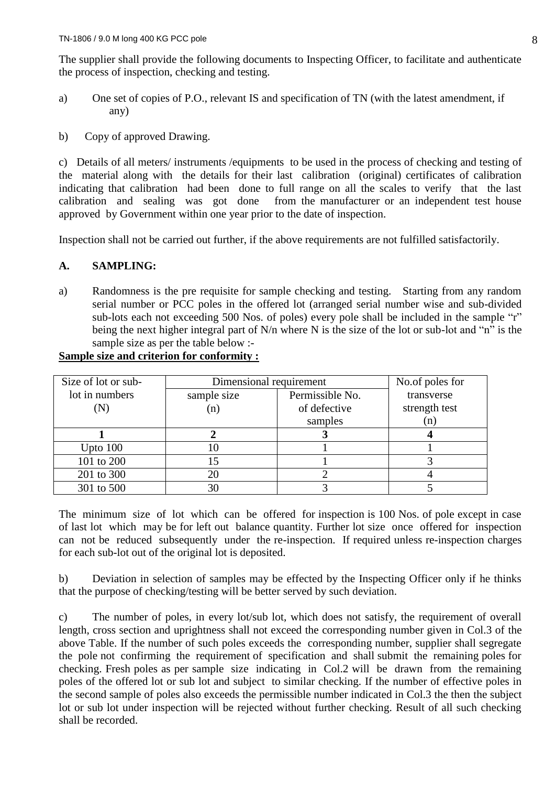The supplier shall provide the following documents to Inspecting Officer, to facilitate and authenticate the process of inspection, checking and testing.

- a) One set of copies of P.O., relevant IS and specification of TN (with the latest amendment, if any)
- b) Copy of approved Drawing.

c) Details of all meters/ instruments /equipments to be used in the process of checking and testing of the material along with the details for their last calibration (original) certificates of calibration indicating that calibration had been done to full range on all the scales to verify that the last calibration and sealing was got done from the manufacturer or an independent test house approved by Government within one year prior to the date of inspection.

Inspection shall not be carried out further, if the above requirements are not fulfilled satisfactorily.

# **A. SAMPLING:**

a) Randomness is the pre requisite for sample checking and testing. Starting from any random serial number or PCC poles in the offered lot (arranged serial number wise and sub-divided sub-lots each not exceeding 500 Nos. of poles) every pole shall be included in the sample "r" being the next higher integral part of N/n where N is the size of the lot or sub-lot and "n" is the sample size as per the table below :-

| Size of lot or sub- | Dimensional requirement |                 | No.of poles for |
|---------------------|-------------------------|-----------------|-----------------|
| lot in numbers      | sample size             | Permissible No. | transverse      |
| $({\rm N})$         | (n)                     | of defective    | strength test   |
|                     |                         | samples         | (n)             |
|                     |                         |                 |                 |
| Upto $100$          | 10                      |                 |                 |
| 101 to 200          |                         |                 |                 |
| 201 to 300          | 20                      |                 |                 |
| 301 to 500          | 30                      |                 |                 |

# **Sample size and criterion for conformity :**

The minimum size of lot which can be offered for inspection is 100 Nos. of pole except in case of last lot which may be for left out balance quantity. Further lot size once offered for inspection can not be reduced subsequently under the re-inspection. If required unless re-inspection charges for each sub-lot out of the original lot is deposited.

b) Deviation in selection of samples may be effected by the Inspecting Officer only if he thinks that the purpose of checking/testing will be better served by such deviation.

c) The number of poles, in every lot/sub lot, which does not satisfy, the requirement of overall length, cross section and uprightness shall not exceed the corresponding number given in Col.3 of the above Table. If the number of such poles exceeds the corresponding number, supplier shall segregate the pole not confirming the requirement of specification and shall submit the remaining poles for checking. Fresh poles as per sample size indicating in Col.2 will be drawn from the remaining poles of the offered lot or sub lot and subject to similar checking. If the number of effective poles in the second sample of poles also exceeds the permissible number indicated in Col.3 the then the subject lot or sub lot under inspection will be rejected without further checking. Result of all such checking shall be recorded.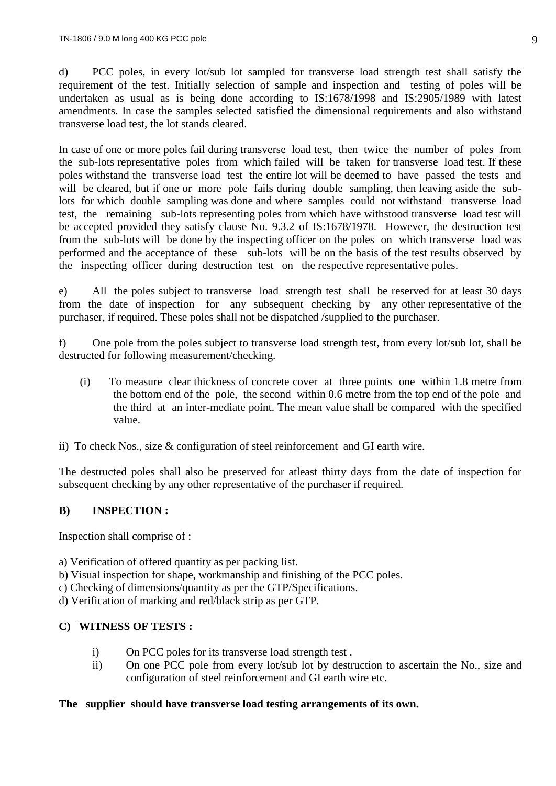d) PCC poles, in every lot/sub lot sampled for transverse load strength test shall satisfy the requirement of the test. Initially selection of sample and inspection and testing of poles will be undertaken as usual as is being done according to IS:1678/1998 and IS:2905/1989 with latest amendments. In case the samples selected satisfied the dimensional requirements and also withstand transverse load test, the lot stands cleared.

In case of one or more poles fail during transverse load test, then twice the number of poles from the sub-lots representative poles from which failed will be taken for transverse load test. If these poles withstand the transverse load test the entire lot will be deemed to have passed the tests and will be cleared, but if one or more pole fails during double sampling, then leaving aside the sublots for which double sampling was done and where samples could not withstand transverse load test, the remaining sub-lots representing poles from which have withstood transverse load test will be accepted provided they satisfy clause No. 9.3.2 of IS:1678/1978. However, the destruction test from the sub-lots will be done by the inspecting officer on the poles on which transverse load was performed and the acceptance of these sub-lots will be on the basis of the test results observed by the inspecting officer during destruction test on the respective representative poles.

e) All the poles subject to transverse load strength test shall be reserved for at least 30 days from the date of inspection for any subsequent checking by any other representative of the purchaser, if required. These poles shall not be dispatched /supplied to the purchaser.

f) One pole from the poles subject to transverse load strength test, from every lot/sub lot, shall be destructed for following measurement/checking.

- (i) To measure clear thickness of concrete cover at three points one within 1.8 metre from the bottom end of the pole, the second within 0.6 metre from the top end of the pole and the third at an inter-mediate point. The mean value shall be compared with the specified value.
- ii) To check Nos., size & configuration of steel reinforcement and GI earth wire.

The destructed poles shall also be preserved for atleast thirty days from the date of inspection for subsequent checking by any other representative of the purchaser if required.

# **B) INSPECTION :**

Inspection shall comprise of :

a) Verification of offered quantity as per packing list.

- b) Visual inspection for shape, workmanship and finishing of the PCC poles.
- c) Checking of dimensions/quantity as per the GTP/Specifications.
- d) Verification of marking and red/black strip as per GTP.

### **C) WITNESS OF TESTS :**

- i) On PCC poles for its transverse load strength test .
- ii) On one PCC pole from every lot/sub lot by destruction to ascertain the No., size and configuration of steel reinforcement and GI earth wire etc.

### **The supplier should have transverse load testing arrangements of its own.**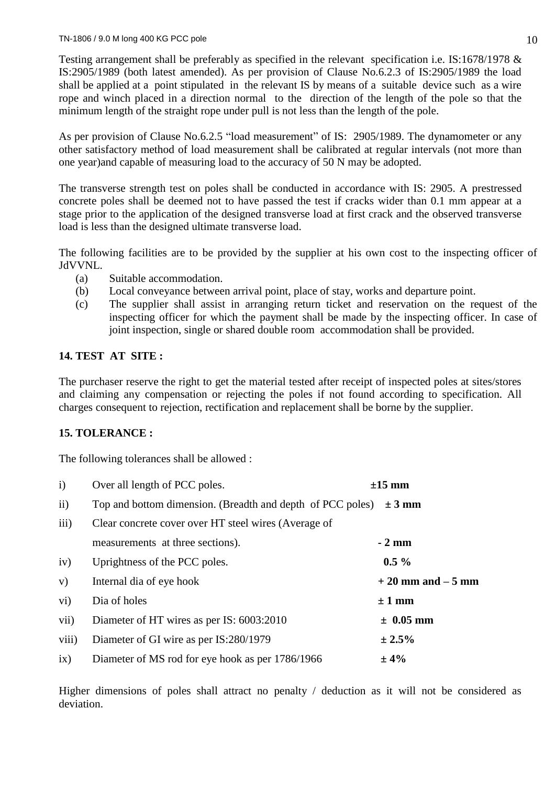Testing arrangement shall be preferably as specified in the relevant specification i.e. IS:1678/1978 & IS:2905/1989 (both latest amended). As per provision of Clause No.6.2.3 of IS:2905/1989 the load shall be applied at a point stipulated in the relevant IS by means of a suitable device such as a wire rope and winch placed in a direction normal to the direction of the length of the pole so that the minimum length of the straight rope under pull is not less than the length of the pole.

As per provision of Clause No.6.2.5 "load measurement" of IS: 2905/1989. The dynamometer or any other satisfactory method of load measurement shall be calibrated at regular intervals (not more than one year)and capable of measuring load to the accuracy of 50 N may be adopted.

The transverse strength test on poles shall be conducted in accordance with IS: 2905. A prestressed concrete poles shall be deemed not to have passed the test if cracks wider than 0.1 mm appear at a stage prior to the application of the designed transverse load at first crack and the observed transverse load is less than the designed ultimate transverse load.

The following facilities are to be provided by the supplier at his own cost to the inspecting officer of JdVVNL.

- (a) Suitable accommodation.
- (b) Local conveyance between arrival point, place of stay, works and departure point.
- (c) The supplier shall assist in arranging return ticket and reservation on the request of the inspecting officer for which the payment shall be made by the inspecting officer. In case of joint inspection, single or shared double room accommodation shall be provided.

# **14. TEST AT SITE :**

The purchaser reserve the right to get the material tested after receipt of inspected poles at sites/stores and claiming any compensation or rejecting the poles if not found according to specification. All charges consequent to rejection, rectification and replacement shall be borne by the supplier.

# **15. TOLERANCE :**

The following tolerances shall be allowed :

| $\mathbf{i}$    | Over all length of PCC poles.                              | $\pm 15$ mm          |
|-----------------|------------------------------------------------------------|----------------------|
| $\mathbf{ii}$   | Top and bottom dimension. (Breadth and depth of PCC poles) | $\pm 3$ mm           |
| iii)            | Clear concrete cover over HT steel wires (Average of       |                      |
|                 | measurements at three sections).                           | $-2$ mm              |
| iv)             | Uprightness of the PCC poles.                              | $0.5\%$              |
| V)              | Internal dia of eye hook                                   | $+20$ mm and $-5$ mm |
| $\overline{vi}$ | Dia of holes                                               | $\pm 1$ mm           |
| vii)            | Diameter of HT wires as per IS: 6003:2010                  | $\pm$ 0.05 mm        |
| viii)           | Diameter of GI wire as per IS:280/1979                     | ± 2.5%               |
| ix)             | Diameter of MS rod for eye hook as per 1786/1966           | ±4%                  |

Higher dimensions of poles shall attract no penalty / deduction as it will not be considered as deviation.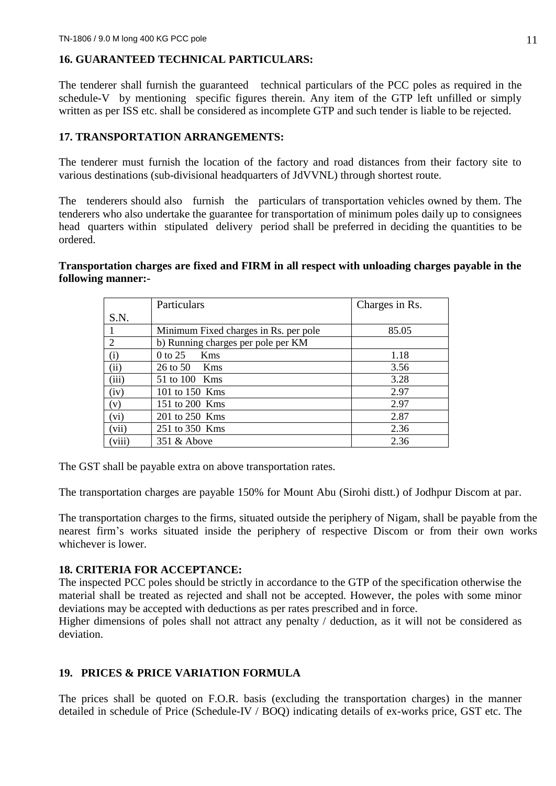# **16. GUARANTEED TECHNICAL PARTICULARS:**

The tenderer shall furnish the guaranteed technical particulars of the PCC poles as required in the schedule-V by mentioning specific figures therein. Any item of the GTP left unfilled or simply written as per ISS etc. shall be considered as incomplete GTP and such tender is liable to be rejected.

### **17. TRANSPORTATION ARRANGEMENTS:**

The tenderer must furnish the location of the factory and road distances from their factory site to various destinations (sub-divisional headquarters of JdVVNL) through shortest route.

The tenderers should also furnish the particulars of transportation vehicles owned by them. The tenderers who also undertake the guarantee for transportation of minimum poles daily up to consignees head quarters within stipulated delivery period shall be preferred in deciding the quantities to be ordered.

### **Transportation charges are fixed and FIRM in all respect with unloading charges payable in the following manner:-**

|                             | Particulars                           | Charges in Rs. |
|-----------------------------|---------------------------------------|----------------|
| S.N.                        |                                       |                |
|                             | Minimum Fixed charges in Rs. per pole | 85.05          |
| $\mathcal{D}_{\mathcal{L}}$ | b) Running charges per pole per KM    |                |
| $\rm(i)$                    | $0$ to 25<br>Kms                      | 1.18           |
| (ii)                        | $26 \text{ to } 50$ Kms               | 3.56           |
| (iii)                       | 51 to 100 Kms                         | 3.28           |
| (iv)                        | 101 to 150 Kms                        | 2.97           |
| (v)                         | 151 to 200 Kms                        | 2.97           |
| (vi)                        | 201 to 250 Kms                        | 2.87           |
| (vii)                       | 251 to 350 Kms                        | 2.36           |
| (viii)                      | $351 \&$ Above                        | 2.36           |

The GST shall be payable extra on above transportation rates.

The transportation charges are payable 150% for Mount Abu (Sirohi distt.) of Jodhpur Discom at par.

The transportation charges to the firms, situated outside the periphery of Nigam, shall be payable from the nearest firm's works situated inside the periphery of respective Discom or from their own works whichever is lower.

### **18. CRITERIA FOR ACCEPTANCE:**

The inspected PCC poles should be strictly in accordance to the GTP of the specification otherwise the material shall be treated as rejected and shall not be accepted. However, the poles with some minor deviations may be accepted with deductions as per rates prescribed and in force.

Higher dimensions of poles shall not attract any penalty / deduction, as it will not be considered as deviation.

# **19. PRICES & PRICE VARIATION FORMULA**

The prices shall be quoted on F.O.R. basis (excluding the transportation charges) in the manner detailed in schedule of Price (Schedule-IV / BOQ) indicating details of ex-works price, GST etc. The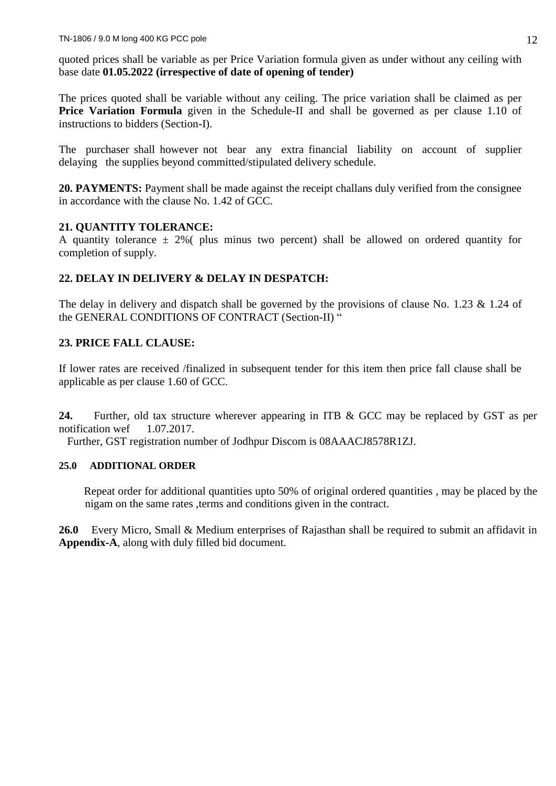quoted prices shall be variable as per Price Variation formula given as under without any ceiling with base date **01.05.2022 (irrespective of date of opening of tender)**

The prices quoted shall be variable without any ceiling. The price variation shall be claimed as per **Price Variation Formula** given in the Schedule-II and shall be governed as per clause 1.10 of instructions to bidders (Section-I).

The purchaser shall however not bear any extra financial liability on account of supplier delaying the supplies beyond committed/stipulated delivery schedule.

**20. PAYMENTS:** Payment shall be made against the receipt challans duly verified from the consignee in accordance with the clause No. 1.42 of GCC.

### **21. QUANTITY TOLERANCE:**

A quantity tolerance  $\pm$  2%( plus minus two percent) shall be allowed on ordered quantity for completion of supply.

### **22. DELAY IN DELIVERY & DELAY IN DESPATCH:**

The delay in delivery and dispatch shall be governed by the provisions of clause No. 1.23 & 1.24 of the GENERAL CONDITIONS OF CONTRACT (Section-II) "

### **23. PRICE FALL CLAUSE:**

If lower rates are received /finalized in subsequent tender for this item then price fall clause shall be applicable as per clause 1.60 of GCC.

**24.** Further, old tax structure wherever appearing in ITB & GCC may be replaced by GST as per notification wef 1.07.2017.

Further, GST registration number of Jodhpur Discom is 08AAACJ8578R1ZJ.

### **25.0 ADDITIONAL ORDER**

 Repeat order for additional quantities upto 50% of original ordered quantities , may be placed by the nigam on the same rates ,terms and conditions given in the contract.

**26.0** Every Micro, Small & Medium enterprises of Rajasthan shall be required to submit an affidavit in **Appendix-A**, along with duly filled bid document.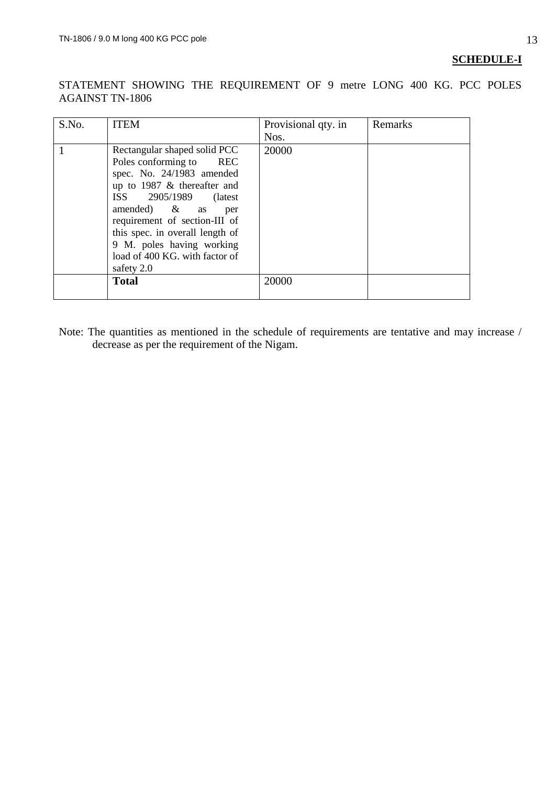# **SCHEDULE-I**

STATEMENT SHOWING THE REQUIREMENT OF 9 metre LONG 400 KG. PCC POLES AGAINST TN-1806

| S.No. | <b>ITEM</b>                                                                                                                                                                                                                                                                                                                    | Provisional qty. in<br>Nos. | Remarks |
|-------|--------------------------------------------------------------------------------------------------------------------------------------------------------------------------------------------------------------------------------------------------------------------------------------------------------------------------------|-----------------------------|---------|
|       | Rectangular shaped solid PCC<br>Poles conforming to REC<br>spec. No. 24/1983 amended<br>up to 1987 $&$ thereafter and<br>ISS 2905/1989<br>(latest)<br>amended) $\&$ as<br>per<br>requirement of section-III of<br>this spec. in overall length of<br>9 M. poles having working<br>load of 400 KG. with factor of<br>safety 2.0 | 20000                       |         |
|       | <b>Total</b>                                                                                                                                                                                                                                                                                                                   | 20000                       |         |

Note: The quantities as mentioned in the schedule of requirements are tentative and may increase / decrease as per the requirement of the Nigam.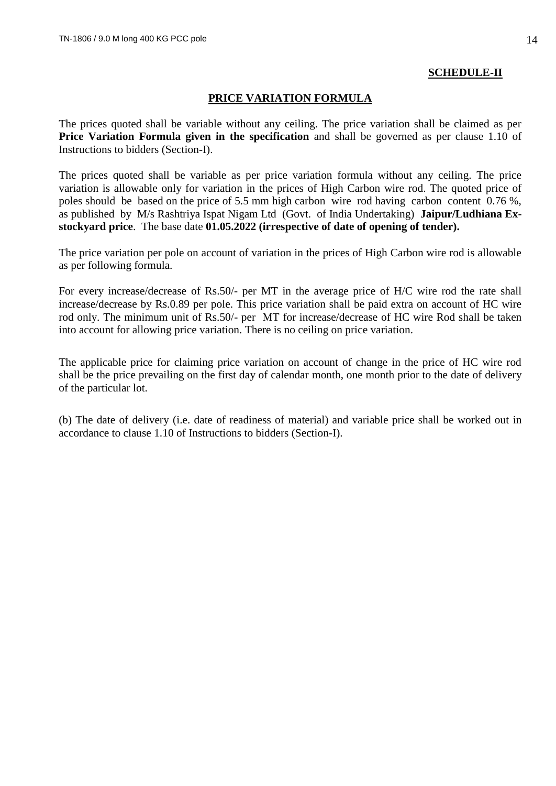### **SCHEDULE-II**

### **PRICE VARIATION FORMULA**

The prices quoted shall be variable without any ceiling. The price variation shall be claimed as per **Price Variation Formula given in the specification** and shall be governed as per clause 1.10 of Instructions to bidders (Section-I).

The prices quoted shall be variable as per price variation formula without any ceiling. The price variation is allowable only for variation in the prices of High Carbon wire rod. The quoted price of poles should be based on the price of 5.5 mm high carbon wire rod having carbon content 0.76 %, as published by M/s Rashtriya Ispat Nigam Ltd (Govt. of India Undertaking) **Jaipur/Ludhiana Exstockyard price**. The base date **01.05.2022 (irrespective of date of opening of tender).**

The price variation per pole on account of variation in the prices of High Carbon wire rod is allowable as per following formula.

For every increase/decrease of Rs.50/- per MT in the average price of H/C wire rod the rate shall increase/decrease by Rs.0.89 per pole. This price variation shall be paid extra on account of HC wire rod only. The minimum unit of Rs.50/- per MT for increase/decrease of HC wire Rod shall be taken into account for allowing price variation. There is no ceiling on price variation.

The applicable price for claiming price variation on account of change in the price of HC wire rod shall be the price prevailing on the first day of calendar month, one month prior to the date of delivery of the particular lot.

(b) The date of delivery (i.e. date of readiness of material) and variable price shall be worked out in accordance to clause 1.10 of Instructions to bidders (Section-I).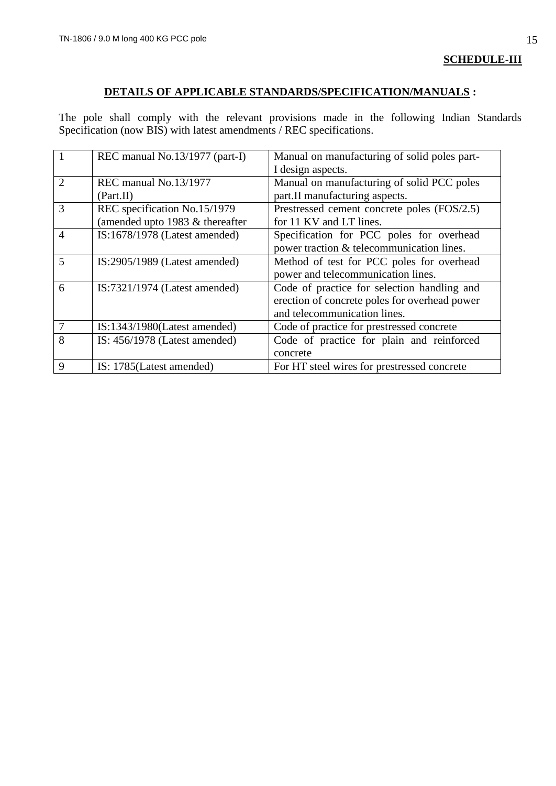### **SCHEDULE-III**

# **DETAILS OF APPLICABLE STANDARDS/SPECIFICATION/MANUALS :**

The pole shall comply with the relevant provisions made in the following Indian Standards Specification (now BIS) with latest amendments / REC specifications.

|                | REC manual No.13/1977 (part-I)  | Manual on manufacturing of solid poles part-  |
|----------------|---------------------------------|-----------------------------------------------|
|                |                                 | I design aspects.                             |
| $\mathcal{D}$  | REC manual No.13/1977           | Manual on manufacturing of solid PCC poles    |
|                | (Part.II)                       | part.II manufacturing aspects.                |
| 3              | REC specification No.15/1979    | Prestressed cement concrete poles (FOS/2.5)   |
|                | (amended upto 1983 & thereafter | for 11 KV and LT lines.                       |
| $\overline{4}$ | IS:1678/1978 (Latest amended)   | Specification for PCC poles for overhead      |
|                |                                 | power traction & telecommunication lines.     |
| 5              | IS:2905/1989 (Latest amended)   | Method of test for PCC poles for overhead     |
|                |                                 | power and telecommunication lines.            |
| 6              | $IS:7321/1974$ (Latest amended) | Code of practice for selection handling and   |
|                |                                 | erection of concrete poles for overhead power |
|                |                                 | and telecommunication lines.                  |
|                | $IS:1343/1980$ (Latest amended) | Code of practice for prestressed concrete     |
| 8              | IS: $456/1978$ (Latest amended) | Code of practice for plain and reinforced     |
|                |                                 | concrete                                      |
| 9              | IS: 1785(Latest amended)        | For HT steel wires for prestressed concrete   |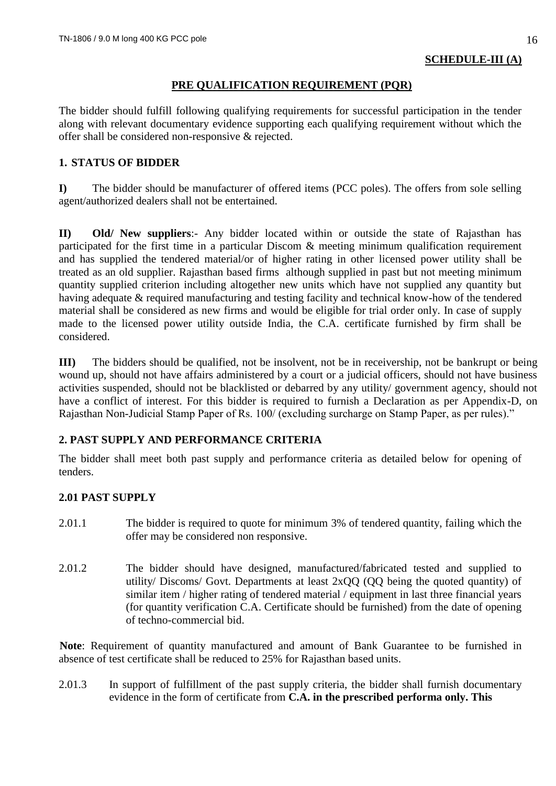### **PRE QUALIFICATION REQUIREMENT (PQR)**

The bidder should fulfill following qualifying requirements for successful participation in the tender along with relevant documentary evidence supporting each qualifying requirement without which the offer shall be considered non-responsive & rejected.

# **1. STATUS OF BIDDER**

**I)** The bidder should be manufacturer of offered items (PCC poles). The offers from sole selling agent/authorized dealers shall not be entertained.

**II) Old/ New suppliers**:- Any bidder located within or outside the state of Rajasthan has participated for the first time in a particular Discom & meeting minimum qualification requirement and has supplied the tendered material/or of higher rating in other licensed power utility shall be treated as an old supplier. Rajasthan based firms although supplied in past but not meeting minimum quantity supplied criterion including altogether new units which have not supplied any quantity but having adequate & required manufacturing and testing facility and technical know-how of the tendered material shall be considered as new firms and would be eligible for trial order only. In case of supply made to the licensed power utility outside India, the C.A. certificate furnished by firm shall be considered.

**III)** The bidders should be qualified, not be insolvent, not be in receivership, not be bankrupt or being wound up, should not have affairs administered by a court or a judicial officers, should not have business activities suspended, should not be blacklisted or debarred by any utility/ government agency, should not have a conflict of interest. For this bidder is required to furnish a Declaration as per Appendix-D, on Rajasthan Non-Judicial Stamp Paper of Rs. 100/ (excluding surcharge on Stamp Paper, as per rules)."

# **2. PAST SUPPLY AND PERFORMANCE CRITERIA**

The bidder shall meet both past supply and performance criteria as detailed below for opening of tenders.

# **2.01 PAST SUPPLY**

- 2.01.1 The bidder is required to quote for minimum 3% of tendered quantity, failing which the offer may be considered non responsive.
- 2.01.2 The bidder should have designed, manufactured/fabricated tested and supplied to utility/ Discoms/ Govt. Departments at least 2xQQ (QQ being the quoted quantity) of similar item / higher rating of tendered material / equipment in last three financial years (for quantity verification C.A. Certificate should be furnished) from the date of opening of techno-commercial bid.

**Note**: Requirement of quantity manufactured and amount of Bank Guarantee to be furnished in absence of test certificate shall be reduced to 25% for Rajasthan based units.

2.01.3 In support of fulfillment of the past supply criteria, the bidder shall furnish documentary evidence in the form of certificate from **C.A. in the prescribed performa only. This**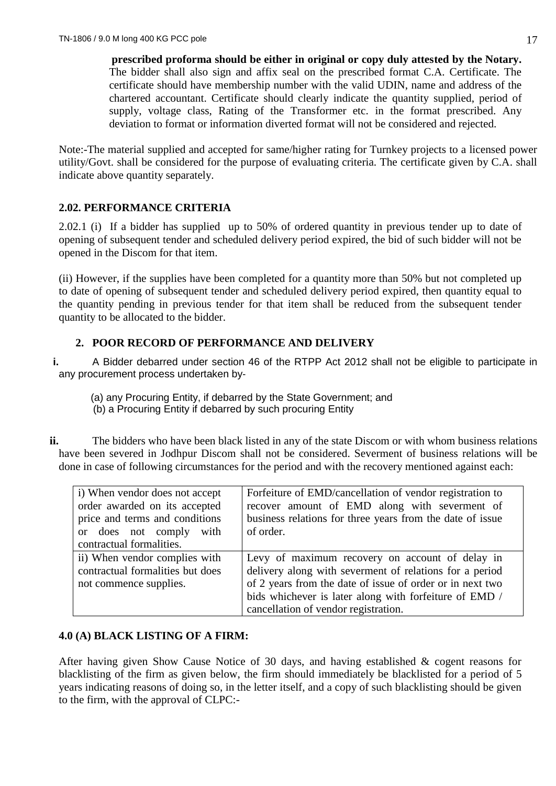**prescribed proforma should be either in original or copy duly attested by the Notary.** The bidder shall also sign and affix seal on the prescribed format C.A. Certificate. The certificate should have membership number with the valid UDIN, name and address of the chartered accountant. Certificate should clearly indicate the quantity supplied, period of supply, voltage class, Rating of the Transformer etc. in the format prescribed. Any deviation to format or information diverted format will not be considered and rejected.

Note:-The material supplied and accepted for same/higher rating for Turnkey projects to a licensed power utility/Govt. shall be considered for the purpose of evaluating criteria. The certificate given by C.A. shall indicate above quantity separately.

# **2.02. PERFORMANCE CRITERIA**

2.02.1 (i) If a bidder has supplied up to 50% of ordered quantity in previous tender up to date of opening of subsequent tender and scheduled delivery period expired, the bid of such bidder will not be opened in the Discom for that item.

(ii) However, if the supplies have been completed for a quantity more than 50% but not completed up to date of opening of subsequent tender and scheduled delivery period expired, then quantity equal to the quantity pending in previous tender for that item shall be reduced from the subsequent tender quantity to be allocated to the bidder.

### **2. POOR RECORD OF PERFORMANCE AND DELIVERY**

**i.** A Bidder debarred under section 46 of the RTPP Act 2012 shall not be eligible to participate in any procurement process undertaken by‐

- (a) any Procuring Entity, if debarred by the State Government; and (b) a Procuring Entity if debarred by such procuring Entity
- **ii.** The bidders who have been black listed in any of the state Discom or with whom business relations have been severed in Jodhpur Discom shall not be considered. Severment of business relations will be done in case of following circumstances for the period and with the recovery mentioned against each:

| i) When vendor does not accept   | Forfeiture of EMD/cancellation of vendor registration to  |  |  |  |  |
|----------------------------------|-----------------------------------------------------------|--|--|--|--|
| order awarded on its accepted    | recover amount of EMD along with severment of             |  |  |  |  |
| price and terms and conditions   | business relations for three years from the date of issue |  |  |  |  |
| or does not comply with          | of order.                                                 |  |  |  |  |
| contractual formalities.         |                                                           |  |  |  |  |
| ii) When vendor complies with    | Levy of maximum recovery on account of delay in           |  |  |  |  |
| contractual formalities but does | delivery along with severment of relations for a period   |  |  |  |  |
| not commence supplies.           | of 2 years from the date of issue of order or in next two |  |  |  |  |
|                                  | bids whichever is later along with forfeiture of EMD /    |  |  |  |  |
|                                  | cancellation of vendor registration.                      |  |  |  |  |

# **4.0 (A) BLACK LISTING OF A FIRM:**

After having given Show Cause Notice of 30 days, and having established & cogent reasons for blacklisting of the firm as given below, the firm should immediately be blacklisted for a period of 5 years indicating reasons of doing so, in the letter itself, and a copy of such blacklisting should be given to the firm, with the approval of CLPC:-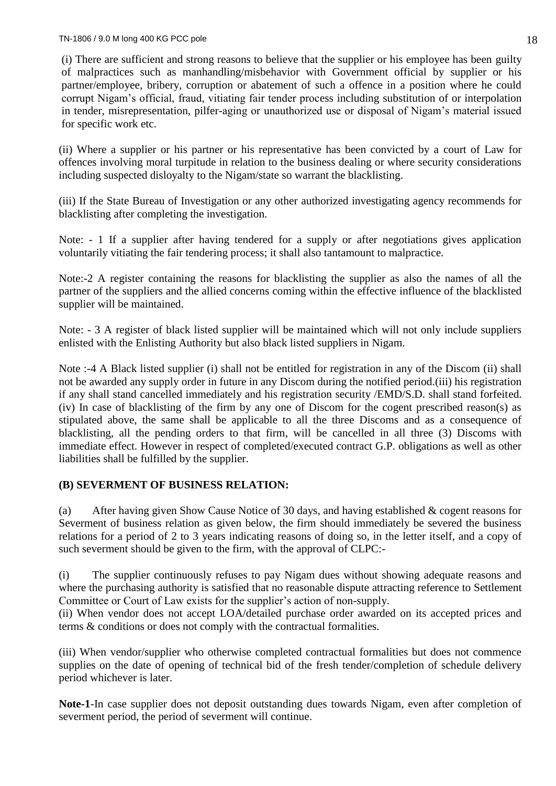(i) There are sufficient and strong reasons to believe that the supplier or his employee has been guilty of malpractices such as manhandling/misbehavior with Government official by supplier or his partner/employee, bribery, corruption or abatement of such a offence in a position where he could corrupt Nigam's official, fraud, vitiating fair tender process including substitution of or interpolation in tender, misrepresentation, pilfer-aging or unauthorized use or disposal of Nigam's material issued for specific work etc.

(ii) Where a supplier or his partner or his representative has been convicted by a court of Law for offences involving moral turpitude in relation to the business dealing or where security considerations including suspected disloyalty to the Nigam/state so warrant the blacklisting.

(iii) If the State Bureau of Investigation or any other authorized investigating agency recommends for blacklisting after completing the investigation.

Note: - 1 If a supplier after having tendered for a supply or after negotiations gives application voluntarily vitiating the fair tendering process; it shall also tantamount to malpractice.

Note:-2 A register containing the reasons for blacklisting the supplier as also the names of all the partner of the suppliers and the allied concerns coming within the effective influence of the blacklisted supplier will be maintained.

Note: - 3 A register of black listed supplier will be maintained which will not only include suppliers enlisted with the Enlisting Authority but also black listed suppliers in Nigam.

Note :-4 A Black listed supplier (i) shall not be entitled for registration in any of the Discom (ii) shall not be awarded any supply order in future in any Discom during the notified period.(iii) his registration if any shall stand cancelled immediately and his registration security /EMD/S.D. shall stand forfeited. (iv) In case of blacklisting of the firm by any one of Discom for the cogent prescribed reason(s) as stipulated above, the same shall be applicable to all the three Discoms and as a consequence of blacklisting, all the pending orders to that firm, will be cancelled in all three (3) Discoms with immediate effect. However in respect of completed/executed contract G.P. obligations as well as other liabilities shall be fulfilled by the supplier.

# **(B) SEVERMENT OF BUSINESS RELATION:**

(a) After having given Show Cause Notice of 30 days, and having established & cogent reasons for Severment of business relation as given below, the firm should immediately be severed the business relations for a period of 2 to 3 years indicating reasons of doing so, in the letter itself, and a copy of such severment should be given to the firm, with the approval of CLPC:-

(i) The supplier continuously refuses to pay Nigam dues without showing adequate reasons and where the purchasing authority is satisfied that no reasonable dispute attracting reference to Settlement Committee or Court of Law exists for the supplier's action of non-supply.

(ii) When vendor does not accept LOA/detailed purchase order awarded on its accepted prices and terms & conditions or does not comply with the contractual formalities.

(iii) When vendor/supplier who otherwise completed contractual formalities but does not commence supplies on the date of opening of technical bid of the fresh tender/completion of schedule delivery period whichever is later.

**Note-1**-In case supplier does not deposit outstanding dues towards Nigam, even after completion of severment period, the period of severment will continue.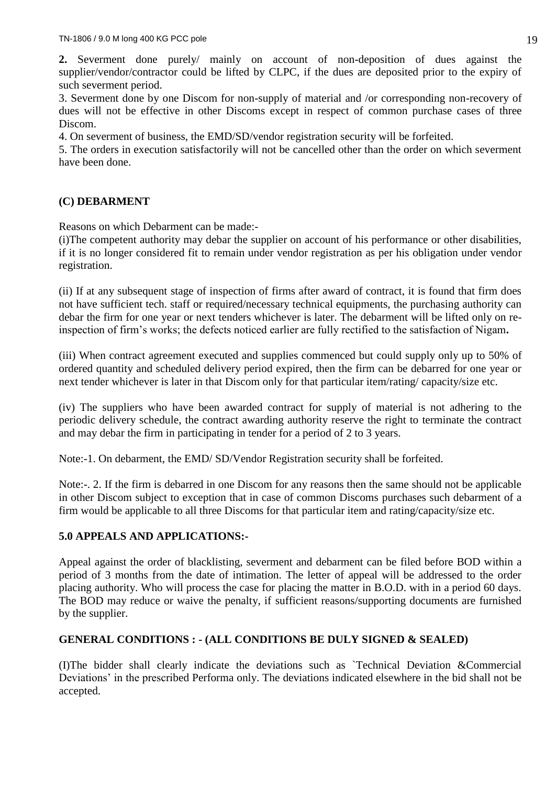**2.** Severment done purely/ mainly on account of non-deposition of dues against the supplier/vendor/contractor could be lifted by CLPC, if the dues are deposited prior to the expiry of such severment period.

3. Severment done by one Discom for non-supply of material and /or corresponding non-recovery of dues will not be effective in other Discoms except in respect of common purchase cases of three Discom.

4. On severment of business, the EMD/SD/vendor registration security will be forfeited.

5. The orders in execution satisfactorily will not be cancelled other than the order on which severment have been done.

# **(C) DEBARMENT**

Reasons on which Debarment can be made:-

(i)The competent authority may debar the supplier on account of his performance or other disabilities, if it is no longer considered fit to remain under vendor registration as per his obligation under vendor registration.

(ii) If at any subsequent stage of inspection of firms after award of contract, it is found that firm does not have sufficient tech. staff or required/necessary technical equipments, the purchasing authority can debar the firm for one year or next tenders whichever is later. The debarment will be lifted only on reinspection of firm's works; the defects noticed earlier are fully rectified to the satisfaction of Nigam**.**

(iii) When contract agreement executed and supplies commenced but could supply only up to 50% of ordered quantity and scheduled delivery period expired, then the firm can be debarred for one year or next tender whichever is later in that Discom only for that particular item/rating/ capacity/size etc.

(iv) The suppliers who have been awarded contract for supply of material is not adhering to the periodic delivery schedule, the contract awarding authority reserve the right to terminate the contract and may debar the firm in participating in tender for a period of 2 to 3 years.

Note:-1. On debarment, the EMD/ SD/Vendor Registration security shall be forfeited.

Note:-. 2. If the firm is debarred in one Discom for any reasons then the same should not be applicable in other Discom subject to exception that in case of common Discoms purchases such debarment of a firm would be applicable to all three Discoms for that particular item and rating/capacity/size etc.

# **5.0 APPEALS AND APPLICATIONS:-**

Appeal against the order of blacklisting, severment and debarment can be filed before BOD within a period of 3 months from the date of intimation. The letter of appeal will be addressed to the order placing authority. Who will process the case for placing the matter in B.O.D. with in a period 60 days. The BOD may reduce or waive the penalty, if sufficient reasons/supporting documents are furnished by the supplier.

# **GENERAL CONDITIONS : - (ALL CONDITIONS BE DULY SIGNED & SEALED)**

(I)The bidder shall clearly indicate the deviations such as `Technical Deviation &Commercial Deviations' in the prescribed Performa only. The deviations indicated elsewhere in the bid shall not be accepted.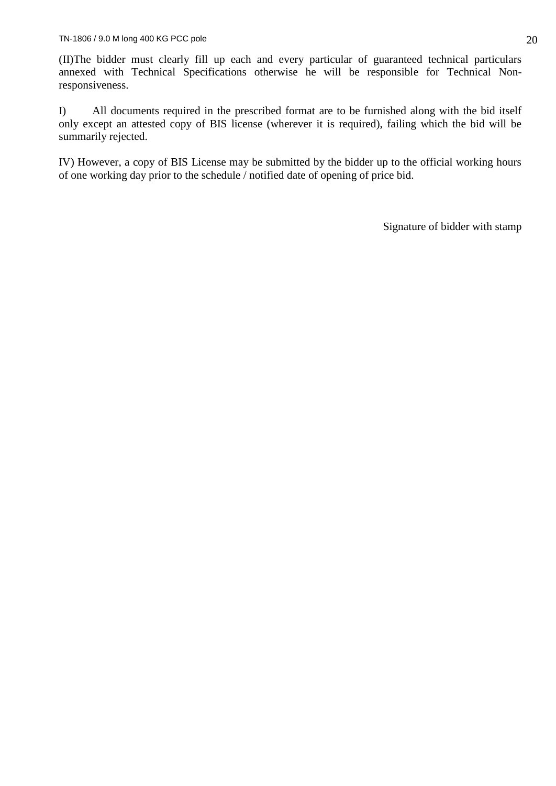(II)The bidder must clearly fill up each and every particular of guaranteed technical particulars annexed with Technical Specifications otherwise he will be responsible for Technical Nonresponsiveness.

I) All documents required in the prescribed format are to be furnished along with the bid itself only except an attested copy of BIS license (wherever it is required), failing which the bid will be summarily rejected.

IV) However, a copy of BIS License may be submitted by the bidder up to the official working hours of one working day prior to the schedule / notified date of opening of price bid.

Signature of bidder with stamp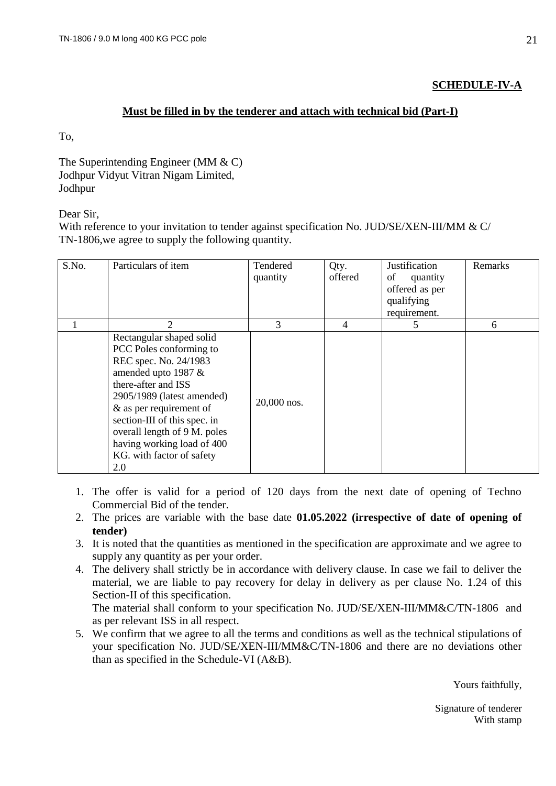# **SCHEDULE-IV-A**

### **Must be filled in by the tenderer and attach with technical bid (Part-I)**

To,

The Superintending Engineer (MM & C) Jodhpur Vidyut Vitran Nigam Limited, Jodhpur

Dear Sir,

With reference to your invitation to tender against specification No. JUD/SE/XEN-III/MM & C/ TN-1806,we agree to supply the following quantity.

| S.No. | Particulars of item                                                                                                                                                                                                                                                                                                   | Tendered<br>quantity | Qty.<br>offered | Justification<br>of<br>quantity<br>offered as per<br>qualifying<br>requirement. | Remarks |
|-------|-----------------------------------------------------------------------------------------------------------------------------------------------------------------------------------------------------------------------------------------------------------------------------------------------------------------------|----------------------|-----------------|---------------------------------------------------------------------------------|---------|
|       | $\mathfrak{D}$                                                                                                                                                                                                                                                                                                        | 3                    | $\overline{4}$  | 5                                                                               | 6       |
|       | Rectangular shaped solid<br>PCC Poles conforming to<br>REC spec. No. 24/1983<br>amended upto 1987 &<br>there-after and ISS<br>2905/1989 (latest amended)<br>& as per requirement of<br>section-III of this spec. in<br>overall length of 9 M. poles<br>having working load of 400<br>KG. with factor of safety<br>2.0 | 20,000 nos.          |                 |                                                                                 |         |

- 1. The offer is valid for a period of 120 days from the next date of opening of Techno Commercial Bid of the tender.
- 2. The prices are variable with the base date **01.05.2022 (irrespective of date of opening of tender)**
- 3. It is noted that the quantities as mentioned in the specification are approximate and we agree to supply any quantity as per your order.
- 4. The delivery shall strictly be in accordance with delivery clause. In case we fail to deliver the material, we are liable to pay recovery for delay in delivery as per clause No. 1.24 of this Section-II of this specification.

The material shall conform to your specification No. JUD/SE/XEN-III/MM&C/TN-1806 and as per relevant ISS in all respect.

5. We confirm that we agree to all the terms and conditions as well as the technical stipulations of your specification No. JUD/SE/XEN-III/MM&C/TN-1806 and there are no deviations other than as specified in the Schedule-VI (A&B).

Yours faithfully,

Signature of tenderer With stamp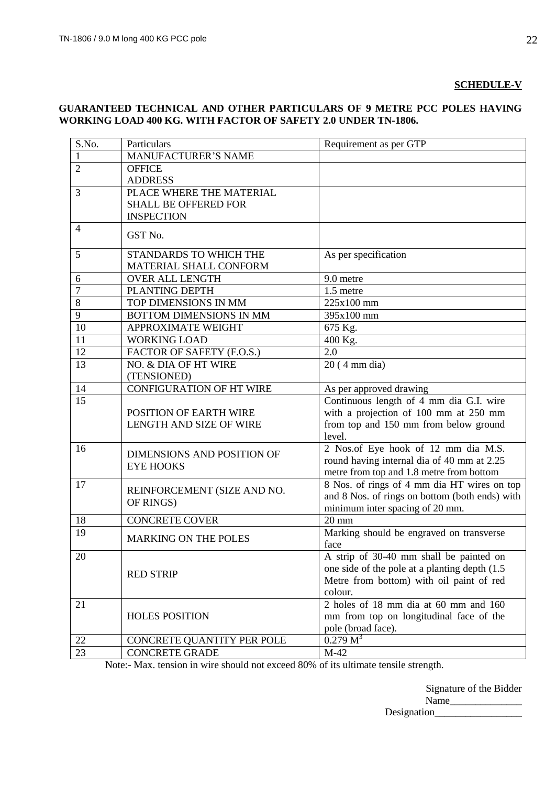#### **SCHEDULE-V**

### **GUARANTEED TECHNICAL AND OTHER PARTICULARS OF 9 METRE PCC POLES HAVING WORKING LOAD 400 KG. WITH FACTOR OF SAFETY 2.0 UNDER TN-1806.**

| S.No.          | Particulars                       | Requirement as per GTP                                      |
|----------------|-----------------------------------|-------------------------------------------------------------|
| 1              | <b>MANUFACTURER'S NAME</b>        |                                                             |
| $\overline{2}$ | <b>OFFICE</b>                     |                                                             |
|                | <b>ADDRESS</b>                    |                                                             |
| 3              | PLACE WHERE THE MATERIAL          |                                                             |
|                | <b>SHALL BE OFFERED FOR</b>       |                                                             |
|                | <b>INSPECTION</b>                 |                                                             |
| $\overline{4}$ | GST No.                           |                                                             |
| 5              | STANDARDS TO WHICH THE            | As per specification                                        |
|                | MATERIAL SHALL CONFORM            |                                                             |
| 6              | <b>OVER ALL LENGTH</b>            | 9.0 metre                                                   |
| $\overline{7}$ | PLANTING DEPTH                    | 1.5 metre                                                   |
| 8              | TOP DIMENSIONS IN MM              | 225x100 mm                                                  |
| 9              | BOTTOM DIMENSIONS IN MM           | 395x100 mm                                                  |
| 10             | APPROXIMATE WEIGHT                | 675 Kg.                                                     |
| 11             | <b>WORKING LOAD</b>               | 400 Kg.                                                     |
| 12             | FACTOR OF SAFETY (F.O.S.)         | 2.0                                                         |
| 13             | NO. & DIA OF HT WIRE              | $\overline{20}$ (4 mm dia)                                  |
|                | (TENSIONED)                       |                                                             |
| 14             | <b>CONFIGURATION OF HT WIRE</b>   | As per approved drawing                                     |
| 15             |                                   | Continuous length of 4 mm dia G.I. wire                     |
|                | POSITION OF EARTH WIRE            | with a projection of 100 mm at 250 mm                       |
|                | LENGTH AND SIZE OF WIRE           | from top and 150 mm from below ground                       |
|                |                                   | level.                                                      |
| 16             | <b>DIMENSIONS AND POSITION OF</b> | 2 Nos.of Eye hook of 12 mm dia M.S.                         |
|                | <b>EYE HOOKS</b>                  | round having internal dia of 40 mm at 2.25                  |
|                |                                   | metre from top and 1.8 metre from bottom                    |
| 17             | REINFORCEMENT (SIZE AND NO.       | 8 Nos. of rings of 4 mm dia HT wires on top                 |
|                | OF RINGS)                         | and 8 Nos. of rings on bottom (both ends) with              |
|                |                                   | minimum inter spacing of 20 mm.                             |
| 18             | <b>CONCRETE COVER</b>             | $20 \text{ mm}$                                             |
| 19             | <b>MARKING ON THE POLES</b>       | Marking should be engraved on transverse                    |
|                |                                   | face                                                        |
| 20             |                                   | A strip of 30-40 mm shall be painted on                     |
|                | <b>RED STRIP</b>                  | one side of the pole at a planting depth (1.5)              |
|                |                                   | Metre from bottom) with oil paint of red                    |
|                |                                   | colour.                                                     |
| 21             |                                   | 2 holes of $18 \text{ mm}$ dia at $60 \text{ mm}$ and $160$ |
|                | <b>HOLES POSITION</b>             | mm from top on longitudinal face of the                     |
|                |                                   | pole (broad face).                                          |
| 22             | CONCRETE QUANTITY PER POLE        | 0.279 M <sup>3</sup>                                        |
| 23             | <b>CONCRETE GRADE</b>             | $M-42$                                                      |

Note:- Max. tension in wire should not exceed 80% of its ultimate tensile strength.

|             | Signature of the Bidder |
|-------------|-------------------------|
| Name        |                         |
| Designation |                         |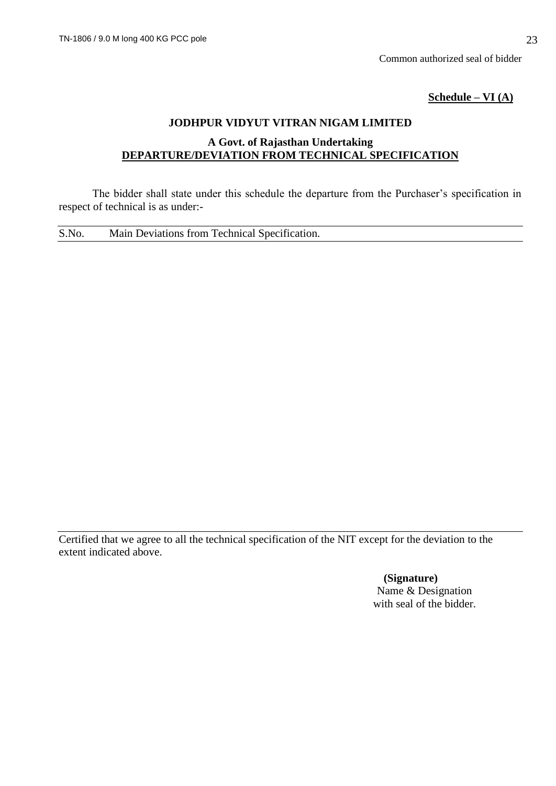Common authorized seal of bidder

**Schedule – VI (A)**

# **JODHPUR VIDYUT VITRAN NIGAM LIMITED**

# **A Govt. of Rajasthan Undertaking DEPARTURE/DEVIATION FROM TECHNICAL SPECIFICATION**

The bidder shall state under this schedule the departure from the Purchaser's specification in respect of technical is as under:-

S.No. Main Deviations from Technical Specification.

Certified that we agree to all the technical specification of the NIT except for the deviation to the extent indicated above.

> **(Signature)** Name & Designation with seal of the bidder.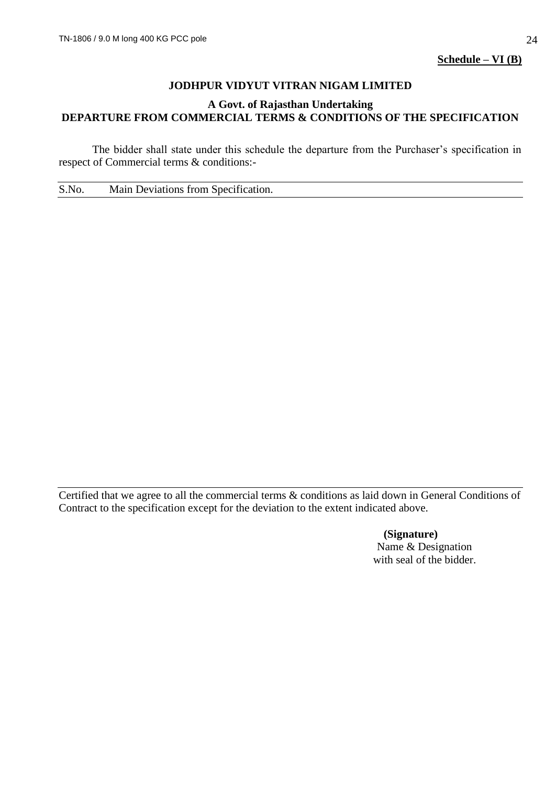# **JODHPUR VIDYUT VITRAN NIGAM LIMITED**

### **A Govt. of Rajasthan Undertaking DEPARTURE FROM COMMERCIAL TERMS & CONDITIONS OF THE SPECIFICATION**

The bidder shall state under this schedule the departure from the Purchaser's specification in respect of Commercial terms & conditions:-

S.No. Main Deviations from Specification.

Certified that we agree to all the commercial terms & conditions as laid down in General Conditions of Contract to the specification except for the deviation to the extent indicated above.

> **(Signature)** Name & Designation with seal of the bidder.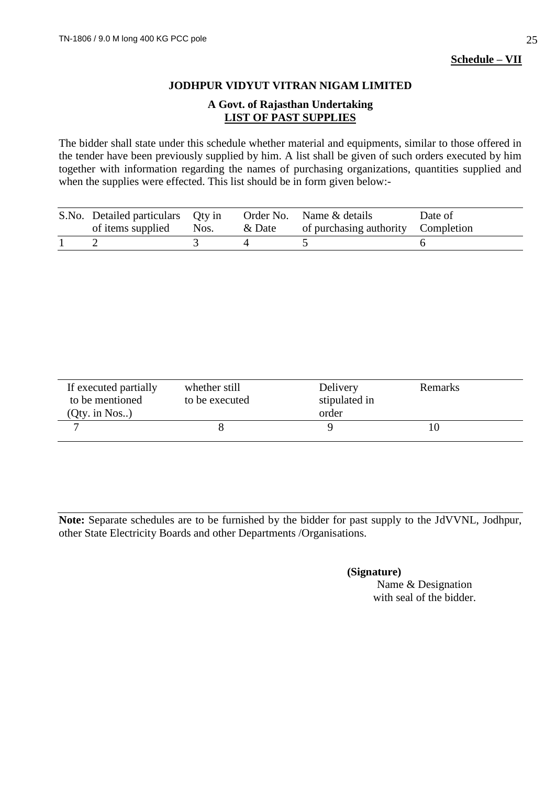# **JODHPUR VIDYUT VITRAN NIGAM LIMITED**

### **A Govt. of Rajasthan Undertaking LIST OF PAST SUPPLIES**

The bidder shall state under this schedule whether material and equipments, similar to those offered in the tender have been previously supplied by him. A list shall be given of such orders executed by him together with information regarding the names of purchasing organizations, quantities supplied and when the supplies were effected. This list should be in form given below:-

| S.No. Detailed particulars Qty in<br>of items supplied Nos. | & Date | Order No. Name & details<br>of purchasing authority Completion | Date of |
|-------------------------------------------------------------|--------|----------------------------------------------------------------|---------|
|                                                             |        |                                                                |         |

| If executed partially<br>to be mentioned | whether still<br>to be executed | Delivery<br>stipulated in | <b>Remarks</b> |
|------------------------------------------|---------------------------------|---------------------------|----------------|
| (Qty. in Nos.)                           |                                 | order                     |                |
|                                          |                                 |                           | 10             |

**Note:** Separate schedules are to be furnished by the bidder for past supply to the JdVVNL, Jodhpur, other State Electricity Boards and other Departments /Organisations.

### **(Signature)**

Name & Designation with seal of the bidder.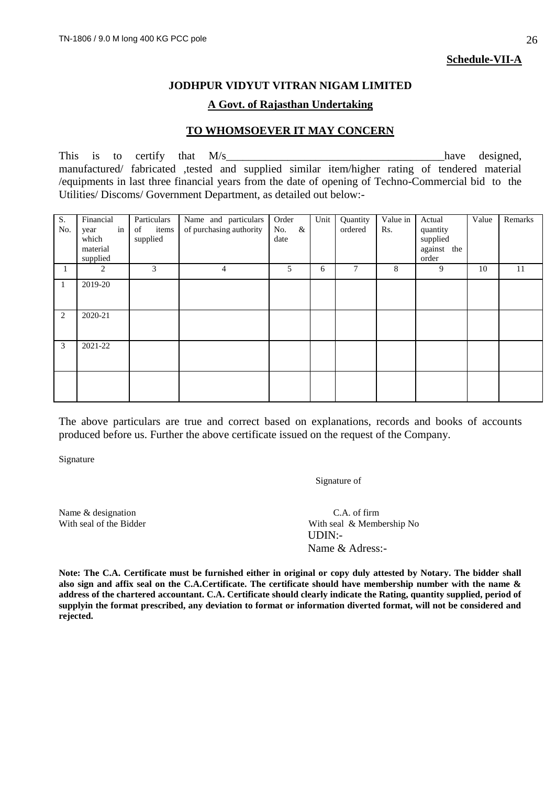**Schedule-VII-A**

### **JODHPUR VIDYUT VITRAN NIGAM LIMITED**

#### **A Govt. of Rajasthan Undertaking**

#### **TO WHOMSOEVER IT MAY CONCERN**

This is to certify that  $M/s$  have designed, manufactured/ fabricated ,tested and supplied similar item/higher rating of tendered material /equipments in last three financial years from the date of opening of Techno-Commercial bid to the Utilities/ Discoms/ Government Department, as detailed out below:-

| S.<br>No. | Financial<br>in<br>year<br>which<br>material<br>supplied | Particulars<br>items<br>of<br>supplied | Name and particulars<br>of purchasing authority | Order<br>$\&$<br>No.<br>date | Unit | Quantity<br>ordered | Value in<br>Rs. | Actual<br>quantity<br>supplied<br>against the<br>order | Value | Remarks |
|-----------|----------------------------------------------------------|----------------------------------------|-------------------------------------------------|------------------------------|------|---------------------|-----------------|--------------------------------------------------------|-------|---------|
| 1         | 2                                                        | 3                                      | 4                                               | 5                            | 6    | 7                   | 8               | 9                                                      | 10    | 11      |
| 1         | 2019-20                                                  |                                        |                                                 |                              |      |                     |                 |                                                        |       |         |
| 2         | 2020-21                                                  |                                        |                                                 |                              |      |                     |                 |                                                        |       |         |
| 3         | 2021-22                                                  |                                        |                                                 |                              |      |                     |                 |                                                        |       |         |
|           |                                                          |                                        |                                                 |                              |      |                     |                 |                                                        |       |         |

The above particulars are true and correct based on explanations, records and books of accounts produced before us. Further the above certificate issued on the request of the Company.

Signature

Signature of

Name & designation C.A. of firm

With seal of the Bidder With seal & Membership No UDIN:- Name & Adress:-

**Note: The C.A. Certificate must be furnished either in original or copy duly attested by Notary. The bidder shall also sign and affix seal on the C.A.Certificate. The certificate should have membership number with the name & address of the chartered accountant. C.A. Certificate should clearly indicate the Rating, quantity supplied, period of supplyin the format prescribed, any deviation to format or information diverted format, will not be considered and rejected.**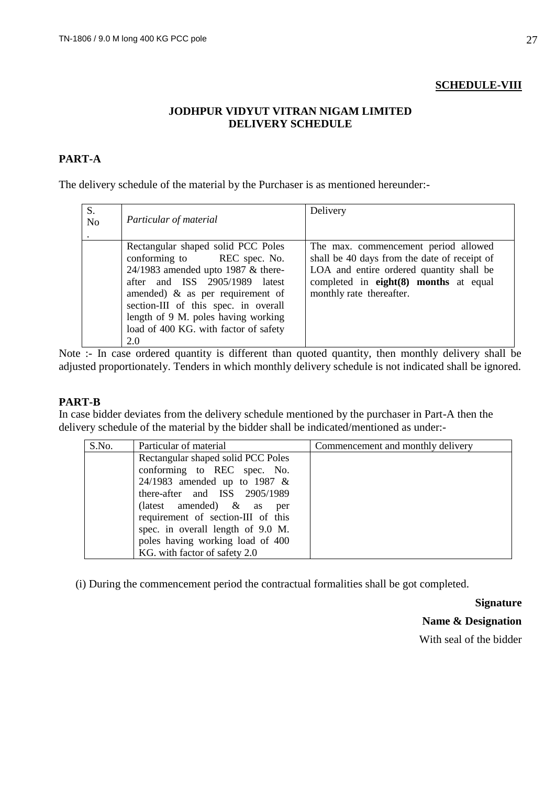### **SCHEDULE-VIII**

### **JODHPUR VIDYUT VITRAN NIGAM LIMITED DELIVERY SCHEDULE**

# **PART-A**

The delivery schedule of the material by the Purchaser is as mentioned hereunder:-

| S.<br>N <sub>o</sub> | Particular of material                                                                                                                                                                                                                                                                                            | Delivery                                                                                                                                                                                              |
|----------------------|-------------------------------------------------------------------------------------------------------------------------------------------------------------------------------------------------------------------------------------------------------------------------------------------------------------------|-------------------------------------------------------------------------------------------------------------------------------------------------------------------------------------------------------|
|                      | Rectangular shaped solid PCC Poles<br>conforming to REC spec. No.<br>24/1983 amended upto 1987 $&$ there-<br>after and ISS 2905/1989 latest<br>amended) $\&$ as per requirement of<br>section-III of this spec. in overall<br>length of 9 M. poles having working<br>load of 400 KG. with factor of safety<br>2.0 | The max. commencement period allowed<br>shall be 40 days from the date of receipt of<br>LOA and entire ordered quantity shall be<br>completed in eight(8) months at equal<br>monthly rate thereafter. |

Note :- In case ordered quantity is different than quoted quantity, then monthly delivery shall be adjusted proportionately. Tenders in which monthly delivery schedule is not indicated shall be ignored.

### **PART-B**

In case bidder deviates from the delivery schedule mentioned by the purchaser in Part-A then the delivery schedule of the material by the bidder shall be indicated/mentioned as under:-

| S.No. | Particular of material             | Commencement and monthly delivery |
|-------|------------------------------------|-----------------------------------|
|       | Rectangular shaped solid PCC Poles |                                   |
|       | conforming to REC spec. No.        |                                   |
|       | 24/1983 amended up to 1987 $&$     |                                   |
|       | there-after and ISS 2905/1989      |                                   |
|       | (latest amended) $\&$ as per       |                                   |
|       | requirement of section-III of this |                                   |
|       | spec. in overall length of 9.0 M.  |                                   |
|       | poles having working load of 400   |                                   |
|       | KG. with factor of safety 2.0      |                                   |

(i) During the commencement period the contractual formalities shall be got completed.

**Signature**

**Name & Designation**

With seal of the bidder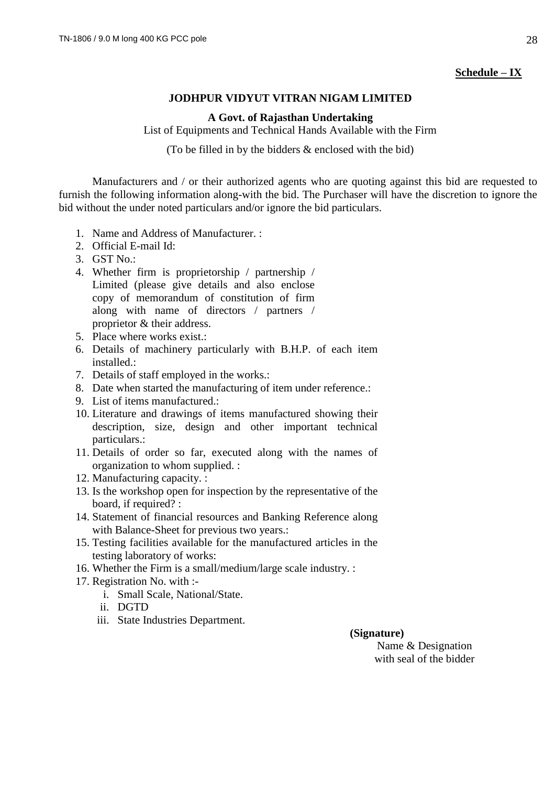### **Schedule – IX**

### **JODHPUR VIDYUT VITRAN NIGAM LIMITED**

**A Govt. of Rajasthan Undertaking**

List of Equipments and Technical Hands Available with the Firm

(To be filled in by the bidders & enclosed with the bid)

Manufacturers and / or their authorized agents who are quoting against this bid are requested to furnish the following information along-with the bid. The Purchaser will have the discretion to ignore the bid without the under noted particulars and/or ignore the bid particulars.

- 1. Name and Address of Manufacturer. :
- 2. Official E-mail Id:
- 3. GST No.:
- 4. Whether firm is proprietorship / partnership / Limited (please give details and also enclose copy of memorandum of constitution of firm along with name of directors / partners / proprietor & their address.
- 5. Place where works exist.:
- 6. Details of machinery particularly with B.H.P. of each item installed.:
- 7. Details of staff employed in the works.:
- 8. Date when started the manufacturing of item under reference.:
- 9. List of items manufactured.:
- 10. Literature and drawings of items manufactured showing their description, size, design and other important technical particulars.:
- 11. Details of order so far, executed along with the names of organization to whom supplied. :
- 12. Manufacturing capacity. :
- 13. Is the workshop open for inspection by the representative of the board, if required? :
- 14. Statement of financial resources and Banking Reference along with Balance-Sheet for previous two years.:
- 15. Testing facilities available for the manufactured articles in the testing laboratory of works:
- 16. Whether the Firm is a small/medium/large scale industry. :
- 17. Registration No. with :
	- i. Small Scale, National/State.
	- ii. DGTD
	- iii. State Industries Department.

 **(Signature)**

Name & Designation with seal of the bidder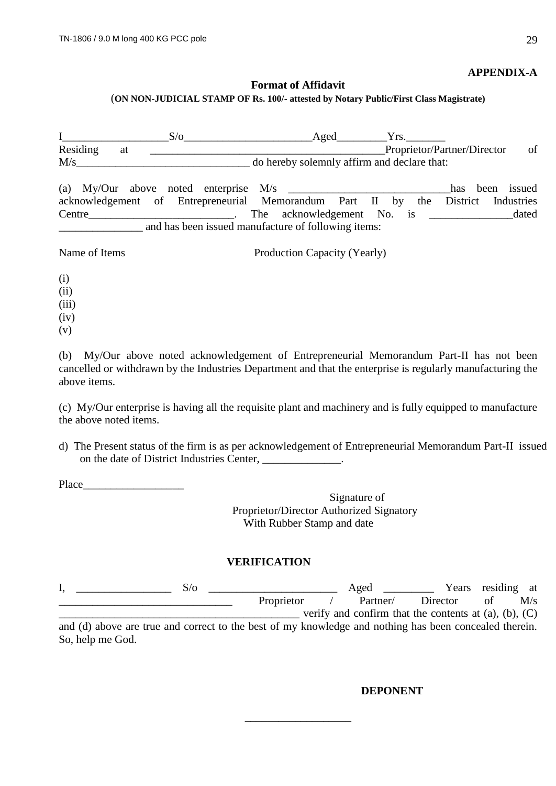#### **APPENDIX-A**

#### **Format of Affidavit** (**ON NON-JUDICIAL STAMP OF Rs. 100/- attested by Notary Public/First Class Magistrate)**

|                       | $S/\sigma$                                                                                                                    | Aged                                        |  | Yrs. |                             |                                    |
|-----------------------|-------------------------------------------------------------------------------------------------------------------------------|---------------------------------------------|--|------|-----------------------------|------------------------------------|
| Residing<br>at<br>M/s |                                                                                                                               | do hereby solemnly affirm and declare that: |  |      | Proprietor/Partner/Director | of                                 |
|                       | acknowledgement of Entrepreneurial Memorandum Part II by the<br>Centre<br>and has been issued manufacture of following items: | The acknowledgement No. is                  |  |      | has.<br>District            | been issued<br>Industries<br>dated |
| Name of Items         |                                                                                                                               | Production Capacity (Yearly)                |  |      |                             |                                    |
| (i)                   |                                                                                                                               |                                             |  |      |                             |                                    |

(ii)

(iii)

 $(iv)$ 

(v)

(b) My/Our above noted acknowledgement of Entrepreneurial Memorandum Part-II has not been cancelled or withdrawn by the Industries Department and that the enterprise is regularly manufacturing the above items.

(c) My/Our enterprise is having all the requisite plant and machinery and is fully equipped to manufacture the above noted items.

d) The Present status of the firm is as per acknowledgement of Entrepreneurial Memorandum Part-II issued on the date of District Industries Center, \_\_\_\_\_\_\_\_\_\_\_\_\_.

Place\_\_\_\_\_\_\_\_\_\_\_\_\_\_\_\_\_\_

Signature of Proprietor/Director Authorized Signatory With Rubber Stamp and date

### **VERIFICATION**

|                                                                                                           |  | Aged              |  |  |          |                                                               | Years residing at |     |
|-----------------------------------------------------------------------------------------------------------|--|-------------------|--|--|----------|---------------------------------------------------------------|-------------------|-----|
|                                                                                                           |  | <b>Proprietor</b> |  |  | Partner/ | Director                                                      | ΩŤ                | M/s |
|                                                                                                           |  |                   |  |  |          | verify and confirm that the contents at $(a)$ , $(b)$ , $(C)$ |                   |     |
| and (d) shows any two such some of to the boot of new busyles deep and nothing has been consecuted though |  |                   |  |  |          |                                                               |                   |     |

and (d) above are true and correct to the best of my knowledge and nothing has been concealed therein. So, help me God.

**\_\_\_\_\_\_\_\_\_\_\_\_\_\_\_\_\_\_\_**

### **DEPONENT**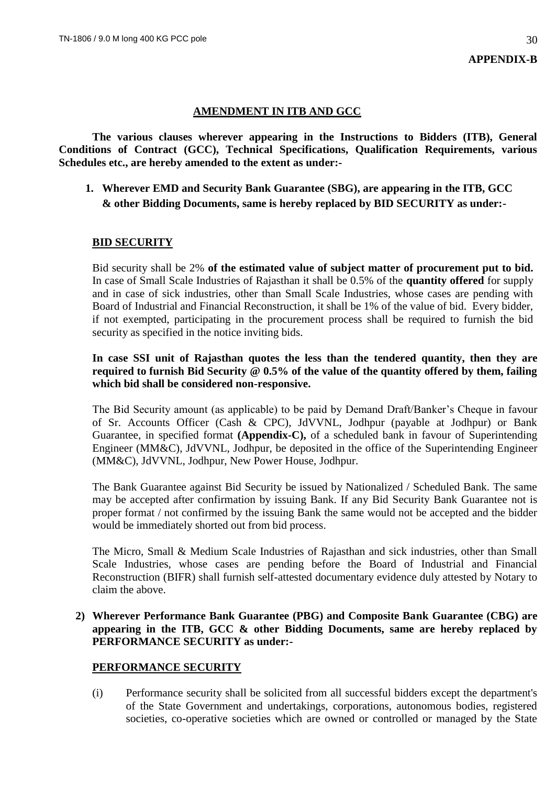### **AMENDMENT IN ITB AND GCC**

**The various clauses wherever appearing in the Instructions to Bidders (ITB), General Conditions of Contract (GCC), Technical Specifications, Qualification Requirements, various Schedules etc., are hereby amended to the extent as under:-**

**1. Wherever EMD and Security Bank Guarantee (SBG), are appearing in the ITB, GCC & other Bidding Documents, same is hereby replaced by BID SECURITY as under:-**

#### **BID SECURITY**

Bid security shall be 2% **of the estimated value of subject matter of procurement put to bid.** In case of Small Scale Industries of Rajasthan it shall be 0.5% of the **quantity offered** for supply and in case of sick industries, other than Small Scale Industries, whose cases are pending with Board of Industrial and Financial Reconstruction, it shall be 1% of the value of bid. Every bidder, if not exempted, participating in the procurement process shall be required to furnish the bid security as specified in the notice inviting bids.

**In case SSI unit of Rajasthan quotes the less than the tendered quantity, then they are required to furnish Bid Security @ 0.5% of the value of the quantity offered by them, failing which bid shall be considered non-responsive.**

The Bid Security amount (as applicable) to be paid by Demand Draft/Banker's Cheque in favour of Sr. Accounts Officer (Cash & CPC), JdVVNL, Jodhpur (payable at Jodhpur) or Bank Guarantee, in specified format **(Appendix-C),** of a scheduled bank in favour of Superintending Engineer (MM&C), JdVVNL, Jodhpur, be deposited in the office of the Superintending Engineer (MM&C), JdVVNL, Jodhpur, New Power House, Jodhpur.

The Bank Guarantee against Bid Security be issued by Nationalized / Scheduled Bank. The same may be accepted after confirmation by issuing Bank. If any Bid Security Bank Guarantee not is proper format / not confirmed by the issuing Bank the same would not be accepted and the bidder would be immediately shorted out from bid process.

The Micro, Small & Medium Scale Industries of Rajasthan and sick industries, other than Small Scale Industries, whose cases are pending before the Board of Industrial and Financial Reconstruction (BIFR) shall furnish self-attested documentary evidence duly attested by Notary to claim the above.

### **2) Wherever Performance Bank Guarantee (PBG) and Composite Bank Guarantee (CBG) are appearing in the ITB, GCC & other Bidding Documents, same are hereby replaced by PERFORMANCE SECURITY as under:-**

### **PERFORMANCE SECURITY**

(i) Performance security shall be solicited from all successful bidders except the department's of the State Government and undertakings, corporations, autonomous bodies, registered societies, co-operative societies which are owned or controlled or managed by the State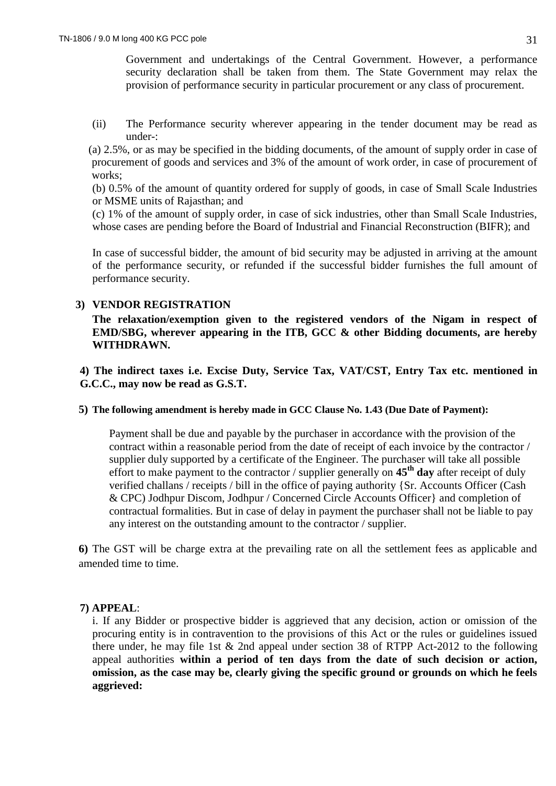Government and undertakings of the Central Government. However, a performance security declaration shall be taken from them. The State Government may relax the provision of performance security in particular procurement or any class of procurement.

(ii) The Performance security wherever appearing in the tender document may be read as under-:

(a) 2.5%, or as may be specified in the bidding documents, of the amount of supply order in case of procurement of goods and services and 3% of the amount of work order, in case of procurement of works;

(b) 0.5% of the amount of quantity ordered for supply of goods, in case of Small Scale Industries or MSME units of Rajasthan; and

(c) 1% of the amount of supply order, in case of sick industries, other than Small Scale Industries, whose cases are pending before the Board of Industrial and Financial Reconstruction (BIFR); and

In case of successful bidder, the amount of bid security may be adjusted in arriving at the amount of the performance security, or refunded if the successful bidder furnishes the full amount of performance security.

# **3) VENDOR REGISTRATION**

**The relaxation/exemption given to the registered vendors of the Nigam in respect of EMD/SBG, wherever appearing in the ITB, GCC & other Bidding documents, are hereby WITHDRAWN.** 

**4) The indirect taxes i.e. Excise Duty, Service Tax, VAT/CST, Entry Tax etc. mentioned in G.C.C., may now be read as G.S.T.** 

### **5) The following amendment is hereby made in GCC Clause No. 1.43 (Due Date of Payment):**

Payment shall be due and payable by the purchaser in accordance with the provision of the contract within a reasonable period from the date of receipt of each invoice by the contractor / supplier duly supported by a certificate of the Engineer. The purchaser will take all possible effort to make payment to the contractor / supplier generally on **45th day** after receipt of duly verified challans / receipts / bill in the office of paying authority {Sr. Accounts Officer (Cash & CPC) Jodhpur Discom, Jodhpur / Concerned Circle Accounts Officer} and completion of contractual formalities. But in case of delay in payment the purchaser shall not be liable to pay any interest on the outstanding amount to the contractor / supplier.

**6)** The GST will be charge extra at the prevailing rate on all the settlement fees as applicable and amended time to time.

### **7) APPEAL**:

i. If any Bidder or prospective bidder is aggrieved that any decision, action or omission of the procuring entity is in contravention to the provisions of this Act or the rules or guidelines issued there under, he may file 1st & 2nd appeal under section 38 of RTPP Act-2012 to the following appeal authorities **within a period of ten days from the date of such decision or action, omission, as the case may be, clearly giving the specific ground or grounds on which he feels aggrieved:**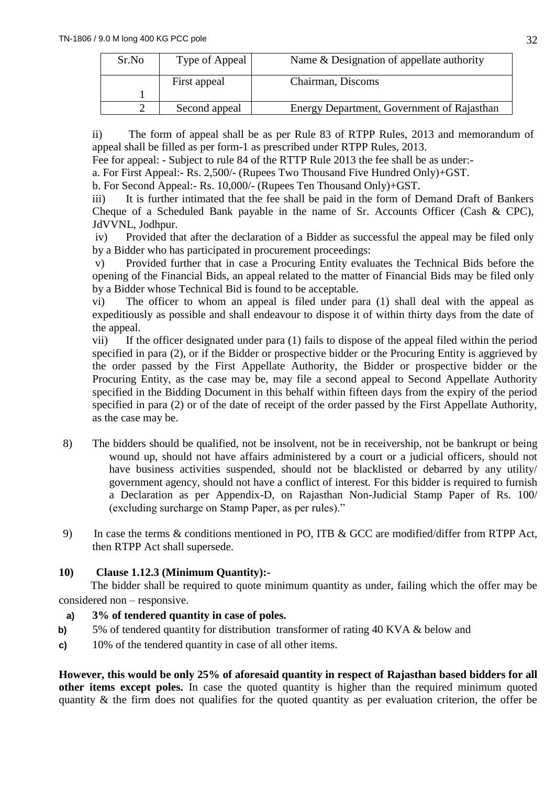| Sr.No | Type of Appeal | Name & Designation of appellate authority  |
|-------|----------------|--------------------------------------------|
|       | First appeal   | Chairman, Discoms                          |
|       |                |                                            |
|       | Second appeal  | Energy Department, Government of Rajasthan |

ii) The form of appeal shall be as per Rule 83 of RTPP Rules, 2013 and memorandum of appeal shall be filled as per form-1 as prescribed under RTPP Rules, 2013.

Fee for appeal: - Subject to rule 84 of the RTTP Rule 2013 the fee shall be as under:-

a. For First Appeal:- Rs. 2,500/- (Rupees Two Thousand Five Hundred Only)+GST.

b. For Second Appeal:- Rs. 10,000/- (Rupees Ten Thousand Only)+GST.

iii) It is further intimated that the fee shall be paid in the form of Demand Draft of Bankers Cheque of a Scheduled Bank payable in the name of Sr. Accounts Officer (Cash & CPC), JdVVNL, Jodhpur.

iv) Provided that after the declaration of a Bidder as successful the appeal may be filed only by a Bidder who has participated in procurement proceedings:

v) Provided further that in case a Procuring Entity evaluates the Technical Bids before the opening of the Financial Bids, an appeal related to the matter of Financial Bids may be filed only by a Bidder whose Technical Bid is found to be acceptable.

vi) The officer to whom an appeal is filed under para (1) shall deal with the appeal as expeditiously as possible and shall endeavour to dispose it of within thirty days from the date of the appeal.

vii) If the officer designated under para (1) fails to dispose of the appeal filed within the period specified in para (2), or if the Bidder or prospective bidder or the Procuring Entity is aggrieved by the order passed by the First Appellate Authority, the Bidder or prospective bidder or the Procuring Entity, as the case may be, may file a second appeal to Second Appellate Authority specified in the Bidding Document in this behalf within fifteen days from the expiry of the period specified in para (2) or of the date of receipt of the order passed by the First Appellate Authority, as the case may be.

- 8) The bidders should be qualified, not be insolvent, not be in receivership, not be bankrupt or being wound up, should not have affairs administered by a court or a judicial officers, should not have business activities suspended, should not be blacklisted or debarred by any utility/ government agency, should not have a conflict of interest. For this bidder is required to furnish a Declaration as per Appendix-D, on Rajasthan Non-Judicial Stamp Paper of Rs. 100/ (excluding surcharge on Stamp Paper, as per rules)."
- 9) In case the terms & conditions mentioned in PO, ITB & GCC are modified/differ from RTPP Act, then RTPP Act shall supersede.

# **10) Clause 1.12.3 (Minimum Quantity):-**

 The bidder shall be required to quote minimum quantity as under, failing which the offer may be considered non – responsive.

# **a) 3% of tendered quantity in case of poles.**

- **b)** 5% of tendered quantity for distribution transformer of rating 40 KVA & below and
- **c)** 10% of the tendered quantity in case of all other items.

**However, this would be only 25% of aforesaid quantity in respect of Rajasthan based bidders for all other items except poles.** In case the quoted quantity is higher than the required minimum quoted quantity & the firm does not qualifies for the quoted quantity as per evaluation criterion, the offer be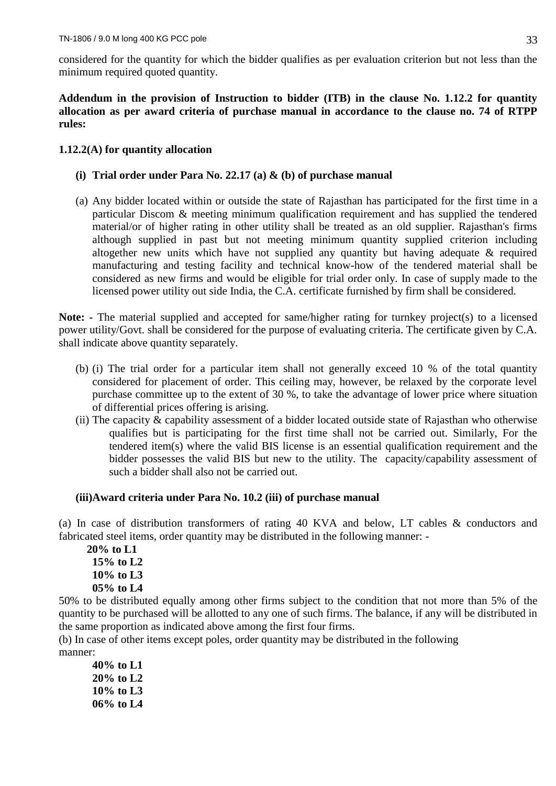considered for the quantity for which the bidder qualifies as per evaluation criterion but not less than the minimum required quoted quantity.

### **Addendum in the provision of Instruction to bidder (ITB) in the clause No. 1.12.2 for quantity allocation as per award criteria of purchase manual in accordance to the clause no. 74 of RTPP rules:**

# **1.12.2(A) for quantity allocation**

# **(i) Trial order under Para No. 22.17 (a) & (b) of purchase manual**

(a) Any bidder located within or outside the state of Rajasthan has participated for the first time in a particular Discom & meeting minimum qualification requirement and has supplied the tendered material/or of higher rating in other utility shall be treated as an old supplier. Rajasthan's firms although supplied in past but not meeting minimum quantity supplied criterion including altogether new units which have not supplied any quantity but having adequate  $\&$  required manufacturing and testing facility and technical know-how of the tendered material shall be considered as new firms and would be eligible for trial order only. In case of supply made to the licensed power utility out side India, the C.A. certificate furnished by firm shall be considered.

**Note: -** The material supplied and accepted for same/higher rating for turnkey project(s) to a licensed power utility/Govt. shall be considered for the purpose of evaluating criteria. The certificate given by C.A. shall indicate above quantity separately.

- (b) (i) The trial order for a particular item shall not generally exceed 10 % of the total quantity considered for placement of order. This ceiling may, however, be relaxed by the corporate level purchase committee up to the extent of 30 %, to take the advantage of lower price where situation of differential prices offering is arising.
- (ii) The capacity  $\&$  capability assessment of a bidder located outside state of Rajasthan who otherwise qualifies but is participating for the first time shall not be carried out. Similarly, For the tendered item(s) where the valid BIS license is an essential qualification requirement and the bidder possesses the valid BIS but new to the utility. The capacity/capability assessment of such a bidder shall also not be carried out.

### **(iii)Award criteria under Para No. 10.2 (iii) of purchase manual**

(a) In case of distribution transformers of rating 40 KVA and below, LT cables & conductors and fabricated steel items, order quantity may be distributed in the following manner: -

 **20% to L1 15% to L2 10% to L3 05% to L4**

50% to be distributed equally among other firms subject to the condition that not more than 5% of the quantity to be purchased will be allotted to any one of such firms. The balance, if any will be distributed in the same proportion as indicated above among the first four firms.

(b) In case of other items except poles, order quantity may be distributed in the following manner:

**40% to L1 20% to L2 10% to L3 06% to L4**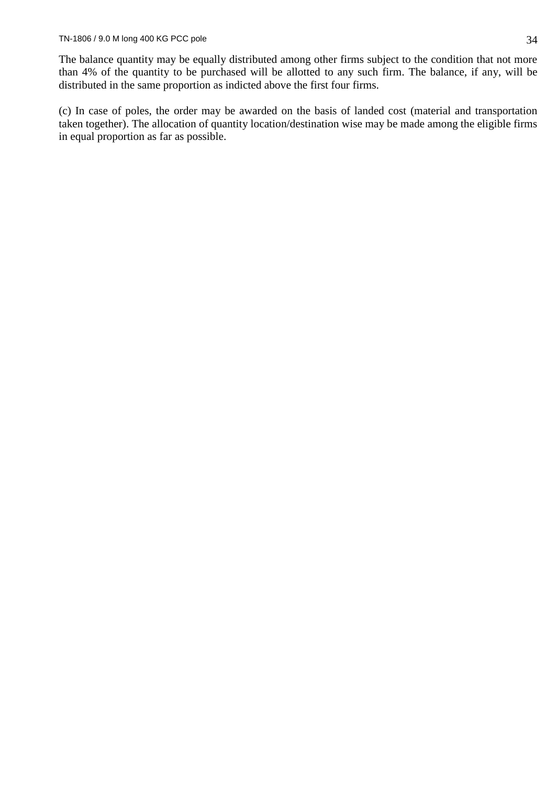The balance quantity may be equally distributed among other firms subject to the condition that not more than 4% of the quantity to be purchased will be allotted to any such firm. The balance, if any, will be distributed in the same proportion as indicted above the first four firms.

(c) In case of poles, the order may be awarded on the basis of landed cost (material and transportation taken together). The allocation of quantity location/destination wise may be made among the eligible firms in equal proportion as far as possible.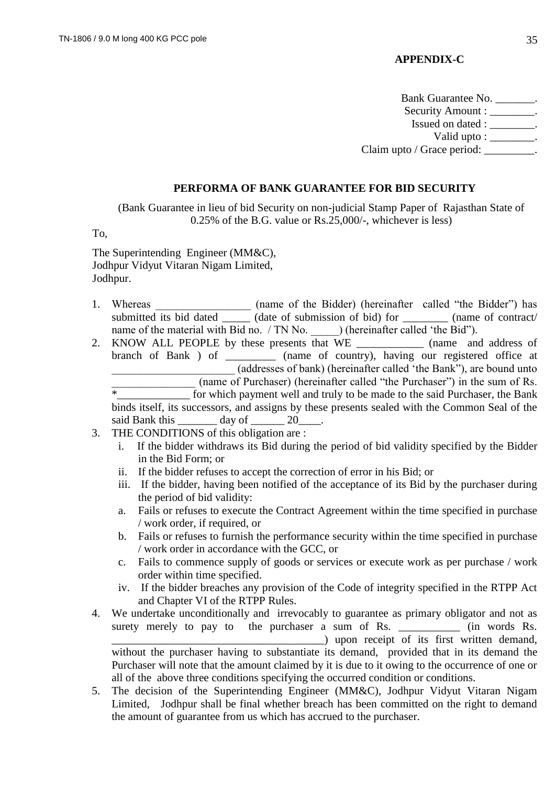### **APPENDIX-C**

Bank Guarantee No. Security Amount : \_\_\_\_\_\_\_\_. Issued on dated : \_\_\_\_\_\_\_\_. Valid upto : \_\_\_\_\_\_\_\_. Claim upto / Grace period:

### **PERFORMA OF BANK GUARANTEE FOR BID SECURITY**

(Bank Guarantee in lieu of bid Security on non-judicial Stamp Paper of Rajasthan State of 0.25% of the B.G. value or Rs.25,000/-, whichever is less)

To,

The Superintending Engineer (MM&C), Jodhpur Vidyut Vitaran Nigam Limited, Jodhpur.

- 1. Whereas \_\_\_\_\_\_\_\_\_\_\_\_\_\_\_ (name of the Bidder) (hereinafter called "the Bidder") has submitted its bid dated \_\_\_\_\_\_ (date of submission of bid) for \_\_\_\_\_\_\_\_ (name of contract/ name of the material with Bid no. / TN No. \_\_\_\_\_\_) (hereinafter called 'the Bid'').
- 2. KNOW ALL PEOPLE by these presents that WE (name and address of branch of Bank ) of \_\_\_\_\_\_\_\_\_ (name of country), having our registered office at \_\_\_\_\_\_\_\_\_\_\_\_\_\_\_\_\_\_\_\_\_\_ (addresses of bank) (hereinafter called 'the Bank"), are bound unto (name of Purchaser) (hereinafter called "the Purchaser") in the sum of Rs. \*\_\_\_\_\_\_\_\_\_\_\_\_\_ for which payment well and truly to be made to the said Purchaser, the Bank binds itself, its successors, and assigns by these presents sealed with the Common Seal of the said Bank this day of 20
- 3. THE CONDITIONS of this obligation are :
	- i. If the bidder withdraws its Bid during the period of bid validity specified by the Bidder in the Bid Form; or
	- ii. If the bidder refuses to accept the correction of error in his Bid; or
	- iii. If the bidder, having been notified of the acceptance of its Bid by the purchaser during the period of bid validity:
	- a. Fails or refuses to execute the Contract Agreement within the time specified in purchase / work order, if required, or
	- b. Fails or refuses to furnish the performance security within the time specified in purchase / work order in accordance with the GCC, or
	- c. Fails to commence supply of goods or services or execute work as per purchase / work order within time specified.
	- iv. If the bidder breaches any provision of the Code of integrity specified in the RTPP Act and Chapter VI of the RTPP Rules.
- 4. We undertake unconditionally and irrevocably to guarantee as primary obligator and not as surety merely to pay to the purchaser a sum of Rs. \_\_\_\_\_\_\_\_\_\_\_\_ (in words Rs. \_\_\_\_\_\_\_\_\_\_\_\_\_\_\_\_\_\_\_\_\_\_\_\_\_\_\_\_\_\_\_\_\_\_\_\_\_\_) upon receipt of its first written demand, without the purchaser having to substantiate its demand, provided that in its demand the Purchaser will note that the amount claimed by it is due to it owing to the occurrence of one or all of the above three conditions specifying the occurred condition or conditions.
- 5. The decision of the Superintending Engineer (MM&C), Jodhpur Vidyut Vitaran Nigam Limited, Jodhpur shall be final whether breach has been committed on the right to demand the amount of guarantee from us which has accrued to the purchaser.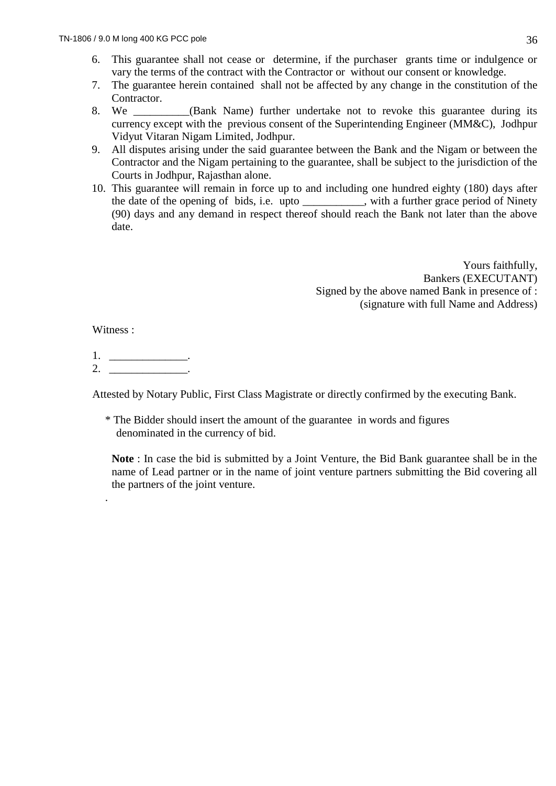- 6. This guarantee shall not cease or determine, if the purchaser grants time or indulgence or vary the terms of the contract with the Contractor or without our consent or knowledge.
- 7. The guarantee herein contained shall not be affected by any change in the constitution of the Contractor.
- 8. We **Shank Name**) further undertake not to revoke this guarantee during its currency except with the previous consent of the Superintending Engineer (MM&C), Jodhpur Vidyut Vitaran Nigam Limited, Jodhpur.
- 9. All disputes arising under the said guarantee between the Bank and the Nigam or between the Contractor and the Nigam pertaining to the guarantee, shall be subject to the jurisdiction of the Courts in Jodhpur, Rajasthan alone.
- 10. This guarantee will remain in force up to and including one hundred eighty (180) days after the date of the opening of bids, i.e. upto \_\_\_\_\_\_\_\_\_\_\_, with a further grace period of Ninety (90) days and any demand in respect thereof should reach the Bank not later than the above date.

Yours faithfully, Bankers (EXECUTANT) Signed by the above named Bank in presence of : (signature with full Name and Address)

Witness :

.

1.  $\Box$  $2.$ 

Attested by Notary Public, First Class Magistrate or directly confirmed by the executing Bank.

\* The Bidder should insert the amount of the guarantee in words and figures denominated in the currency of bid.

**Note** : In case the bid is submitted by a Joint Venture, the Bid Bank guarantee shall be in the name of Lead partner or in the name of joint venture partners submitting the Bid covering all the partners of the joint venture.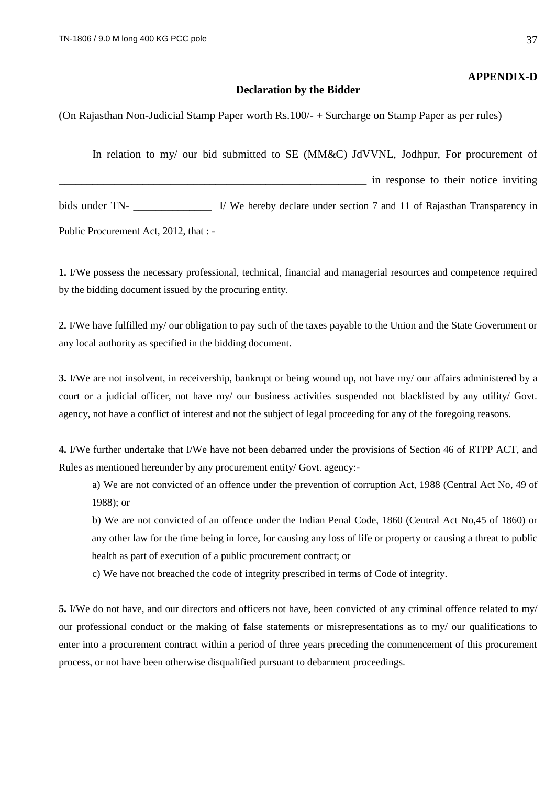#### **APPENDIX-D**

#### **Declaration by the Bidder**

(On Rajasthan Non-Judicial Stamp Paper worth Rs.100/- + Surcharge on Stamp Paper as per rules)

In relation to my/ our bid submitted to SE (MM&C) JdVVNL, Jodhpur, For procurement of \_\_\_\_\_\_\_\_\_\_\_\_\_\_\_\_\_\_\_\_\_\_\_\_\_\_\_\_\_\_\_\_\_\_\_\_\_\_\_\_\_\_\_\_\_\_\_\_\_\_\_\_\_\_\_ in response to their notice inviting bids under TN- I/ We hereby declare under section 7 and 11 of Rajasthan Transparency in Public Procurement Act, 2012, that : -

**1.** I/We possess the necessary professional, technical, financial and managerial resources and competence required by the bidding document issued by the procuring entity.

**2.** I/We have fulfilled my/ our obligation to pay such of the taxes payable to the Union and the State Government or any local authority as specified in the bidding document.

**3.** I/We are not insolvent, in receivership, bankrupt or being wound up, not have my/ our affairs administered by a court or a judicial officer, not have my/ our business activities suspended not blacklisted by any utility/ Govt. agency, not have a conflict of interest and not the subject of legal proceeding for any of the foregoing reasons.

**4.** I/We further undertake that I/We have not been debarred under the provisions of Section 46 of RTPP ACT, and Rules as mentioned hereunder by any procurement entity/ Govt. agency:-

a) We are not convicted of an offence under the prevention of corruption Act, 1988 (Central Act No, 49 of 1988); or

b) We are not convicted of an offence under the Indian Penal Code, 1860 (Central Act No,45 of 1860) or any other law for the time being in force, for causing any loss of life or property or causing a threat to public health as part of execution of a public procurement contract; or

c) We have not breached the code of integrity prescribed in terms of Code of integrity.

**5.** I/We do not have, and our directors and officers not have, been convicted of any criminal offence related to my/ our professional conduct or the making of false statements or misrepresentations as to my/ our qualifications to enter into a procurement contract within a period of three years preceding the commencement of this procurement process, or not have been otherwise disqualified pursuant to debarment proceedings.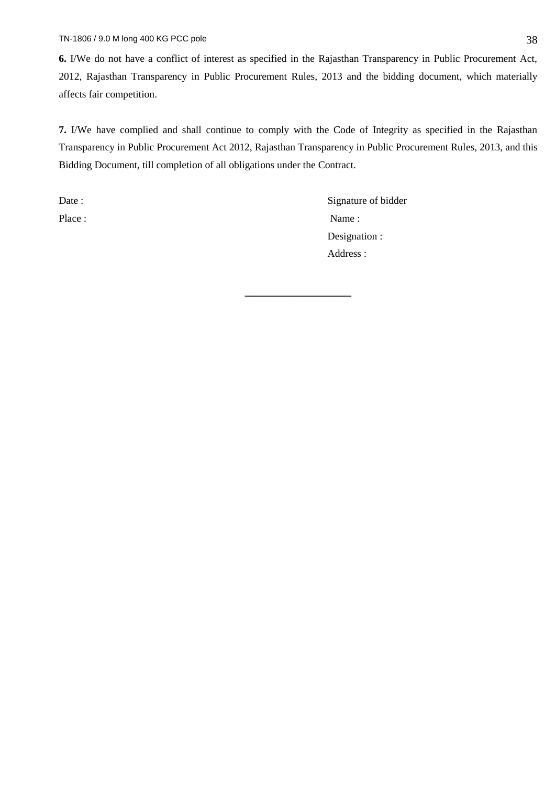**6.** I/We do not have a conflict of interest as specified in the Rajasthan Transparency in Public Procurement Act, 2012, Rajasthan Transparency in Public Procurement Rules, 2013 and the bidding document, which materially affects fair competition.

**7.** I/We have complied and shall continue to comply with the Code of Integrity as specified in the Rajasthan Transparency in Public Procurement Act 2012, Rajasthan Transparency in Public Procurement Rules, 2013, and this Bidding Document, till completion of all obligations under the Contract.

**\_\_\_\_\_\_\_\_\_\_\_\_\_\_\_\_\_\_\_**

Date : Signature of bidder Place : Name : Name : Name : Name : Name : Name : Name : Name : Name : Name : Name : Name : Name : Name : Name :  $\frac{1}{2}$ Designation : Address :